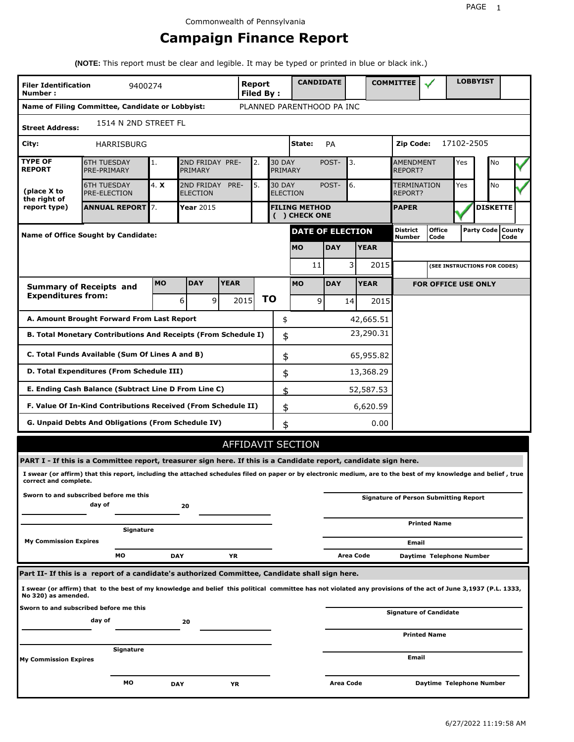# **Campaign Finance Report**

**(NOTE:** This report must be clear and legible. It may be typed or printed in blue or black ink.)

| <b>Filer Identification</b><br>Number: | 9400274                                                                                                                                                         |           |                               |             | <b>Report</b><br>Filed By: |                          | <b>CANDIDATE</b>                     |                  |           |             | <b>COMMITTEE</b>                   |                                              |            | <b>LOBBYIST</b>              |      |  |
|----------------------------------------|-----------------------------------------------------------------------------------------------------------------------------------------------------------------|-----------|-------------------------------|-------------|----------------------------|--------------------------|--------------------------------------|------------------|-----------|-------------|------------------------------------|----------------------------------------------|------------|------------------------------|------|--|
|                                        | Name of Filing Committee, Candidate or Lobbyist:                                                                                                                |           |                               |             |                            |                          | PLANNED PARENTHOOD PA INC            |                  |           |             |                                    |                                              |            |                              |      |  |
| <b>Street Address:</b>                 | 1514 N 2ND STREET FL                                                                                                                                            |           |                               |             |                            |                          |                                      |                  |           |             |                                    |                                              |            |                              |      |  |
| City:                                  | HARRISBURG                                                                                                                                                      |           |                               |             |                            |                          | State:                               | <b>PA</b>        |           |             | Zip Code:                          |                                              | 17102-2505 |                              |      |  |
| <b>TYPE OF</b><br><b>REPORT</b>        | <b>6TH TUESDAY</b><br>PRE-PRIMARY                                                                                                                               | 1.        | 2ND FRIDAY PRE-<br>PRIMARY    |             | 2.                         | <b>30 DAY</b><br>PRIMARY |                                      | POST-            | 3.        |             | <b>AMENDMENT</b><br><b>REPORT?</b> |                                              | Yes        | No                           |      |  |
| (place X to<br>the right of            | <b>6TH TUESDAY</b><br><b>PRE-ELECTION</b>                                                                                                                       | 4. X      | 2ND FRIDAY<br><b>ELECTION</b> | PRE-        | 5.                         | <b>30 DAY</b>            | <b>ELECTION</b>                      | POST-            | 6.        |             | TERMINATION<br>REPORT?             |                                              | Yes        | No                           |      |  |
| report type)                           | <b>ANNUAL REPORT</b> 7.                                                                                                                                         |           | Year 2015                     |             |                            |                          | <b>FILING METHOD</b><br>() CHECK ONE |                  |           |             | <b>PAPER</b>                       |                                              |            | <b>DISKETTE</b>              |      |  |
|                                        | Name of Office Sought by Candidate:                                                                                                                             |           |                               |             |                            |                          | <b>DATE OF ELECTION</b>              |                  |           |             | <b>District</b><br><b>Number</b>   | <b>Office</b><br>Code                        |            | Party Code   County          | Code |  |
|                                        |                                                                                                                                                                 |           |                               |             |                            |                          | <b>MO</b>                            | <b>DAY</b>       |           | <b>YEAR</b> |                                    |                                              |            |                              |      |  |
|                                        |                                                                                                                                                                 |           |                               |             |                            |                          | 11                                   |                  | 3         | 2015        |                                    |                                              |            | (SEE INSTRUCTIONS FOR CODES) |      |  |
|                                        | <b>Summary of Receipts and</b>                                                                                                                                  | <b>MO</b> | <b>DAY</b>                    | <b>YEAR</b> |                            |                          | <b>MO</b>                            | <b>DAY</b>       |           | <b>YEAR</b> |                                    | <b>FOR OFFICE USE ONLY</b>                   |            |                              |      |  |
| <b>Expenditures from:</b>              |                                                                                                                                                                 |           | $\mathsf{q}$<br>6             |             | 2015                       | ΤO                       | 9                                    |                  | 14        | 2015        |                                    |                                              |            |                              |      |  |
|                                        | A. Amount Brought Forward From Last Report                                                                                                                      |           |                               |             |                            | \$                       |                                      |                  |           | 42,665.51   |                                    |                                              |            |                              |      |  |
|                                        | B. Total Monetary Contributions And Receipts (From Schedule I)                                                                                                  |           |                               |             |                            | \$                       |                                      |                  |           | 23,290.31   |                                    |                                              |            |                              |      |  |
|                                        | C. Total Funds Available (Sum Of Lines A and B)                                                                                                                 |           |                               |             |                            | \$                       |                                      |                  |           | 65,955.82   |                                    |                                              |            |                              |      |  |
|                                        | D. Total Expenditures (From Schedule III)                                                                                                                       |           |                               |             |                            | \$                       |                                      |                  |           | 13,368.29   |                                    |                                              |            |                              |      |  |
|                                        | E. Ending Cash Balance (Subtract Line D From Line C)                                                                                                            |           |                               |             |                            | \$                       |                                      |                  |           | 52,587.53   |                                    |                                              |            |                              |      |  |
|                                        | F. Value Of In-Kind Contributions Received (From Schedule II)                                                                                                   |           |                               |             |                            | \$                       |                                      |                  |           | 6,620.59    |                                    |                                              |            |                              |      |  |
|                                        | <b>G. Unpaid Debts And Obligations (From Schedule IV)</b>                                                                                                       |           |                               |             |                            | \$                       |                                      |                  |           | 0.00        |                                    |                                              |            |                              |      |  |
|                                        |                                                                                                                                                                 |           |                               |             |                            |                          | AFFIDAVIT SECTION                    |                  |           |             |                                    |                                              |            |                              |      |  |
|                                        | PART I - If this is a Committee report, treasurer sign here. If this is a Candidate report, candidate sign here.                                                |           |                               |             |                            |                          |                                      |                  |           |             |                                    |                                              |            |                              |      |  |
| correct and complete.                  | I swear (or affirm) that this report, including the attached schedules filed on paper or by electronic medium, are to the best of my knowledge and belief, true |           |                               |             |                            |                          |                                      |                  |           |             |                                    |                                              |            |                              |      |  |
|                                        | Sworn to and subscribed before me this<br>day of                                                                                                                |           | 20                            |             |                            |                          |                                      |                  |           |             |                                    | <b>Signature of Person Submitting Report</b> |            |                              |      |  |
|                                        | Signature                                                                                                                                                       |           |                               |             |                            |                          |                                      |                  |           |             |                                    | <b>Printed Name</b>                          |            |                              |      |  |
| <b>My Commission Expires</b>           |                                                                                                                                                                 |           |                               |             |                            |                          |                                      |                  |           |             | Email                              |                                              |            |                              |      |  |
|                                        | МO                                                                                                                                                              |           | <b>DAY</b>                    | YR          |                            |                          |                                      |                  | Area Code |             |                                    | Daytime Telephone Number                     |            |                              |      |  |
|                                        | Part II- If this is a report of a candidate's authorized Committee, Candidate shall sign here.                                                                  |           |                               |             |                            |                          |                                      |                  |           |             |                                    |                                              |            |                              |      |  |
| No 320) as amended.                    | I swear (or affirm) that to the best of my knowledge and belief this political committee has not violated any provisions of the act of June 3,1937 (P.L. 1333,  |           |                               |             |                            |                          |                                      |                  |           |             |                                    |                                              |            |                              |      |  |
|                                        | Sworn to and subscribed before me this<br>day of                                                                                                                |           | 20                            |             |                            |                          |                                      |                  |           |             |                                    | <b>Signature of Candidate</b>                |            |                              |      |  |
|                                        |                                                                                                                                                                 |           |                               |             |                            |                          |                                      |                  |           |             |                                    | <b>Printed Name</b>                          |            |                              |      |  |
| My Commission Expires                  | Signature                                                                                                                                                       |           |                               |             |                            |                          |                                      |                  |           |             | Email                              |                                              |            |                              |      |  |
|                                        | МO                                                                                                                                                              |           | <b>DAY</b>                    | ΥR          |                            |                          |                                      | <b>Area Code</b> |           |             |                                    | Daytime Telephone Number                     |            |                              |      |  |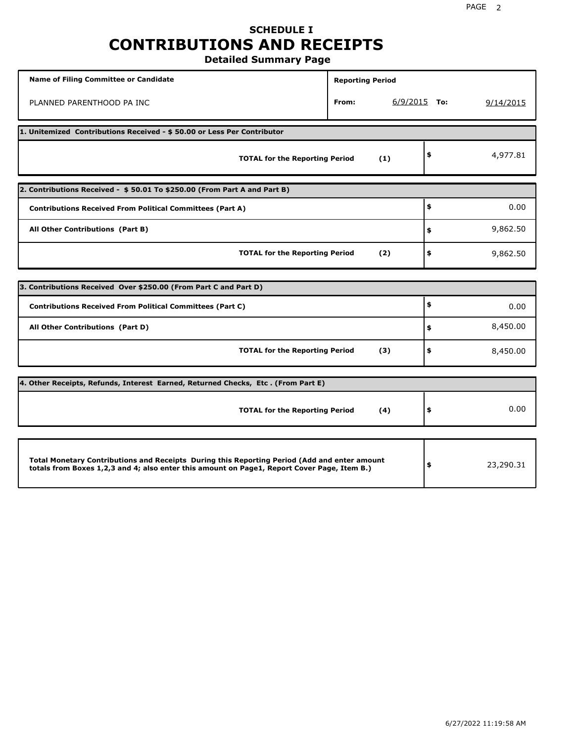# **SCHEDULE I CONTRIBUTIONS AND RECEIPTS**

**Detailed Summary Page**

| <b>Name of Filing Committee or Candidate</b>                                                                                                                                                | <b>Reporting Period</b> |                |           |
|---------------------------------------------------------------------------------------------------------------------------------------------------------------------------------------------|-------------------------|----------------|-----------|
| PLANNED PARENTHOOD PA INC                                                                                                                                                                   | From:                   | $6/9/2015$ To: | 9/14/2015 |
| 1. Unitemized Contributions Received - \$50.00 or Less Per Contributor                                                                                                                      |                         |                |           |
| <b>TOTAL for the Reporting Period</b>                                                                                                                                                       | (1)                     | \$             | 4,977.81  |
| 2. Contributions Received - \$50.01 To \$250.00 (From Part A and Part B)                                                                                                                    |                         |                |           |
| <b>Contributions Received From Political Committees (Part A)</b>                                                                                                                            |                         | \$             | 0.00      |
| All Other Contributions (Part B)                                                                                                                                                            |                         | \$             | 9,862.50  |
| <b>TOTAL for the Reporting Period</b>                                                                                                                                                       | (2)                     | \$             | 9,862.50  |
|                                                                                                                                                                                             |                         |                |           |
| 3. Contributions Received Over \$250.00 (From Part C and Part D)                                                                                                                            |                         | \$             |           |
| <b>Contributions Received From Political Committees (Part C)</b>                                                                                                                            |                         |                | 0.00      |
| All Other Contributions (Part D)                                                                                                                                                            |                         | \$             | 8,450.00  |
| <b>TOTAL for the Reporting Period</b>                                                                                                                                                       | (3)                     | \$             | 8,450.00  |
| 4. Other Receipts, Refunds, Interest Earned, Returned Checks, Etc. (From Part E)                                                                                                            |                         |                |           |
| <b>TOTAL for the Reporting Period</b>                                                                                                                                                       | (4)                     | \$             | 0.00      |
|                                                                                                                                                                                             |                         |                |           |
| Total Monetary Contributions and Receipts During this Reporting Period (Add and enter amount<br>totals from Boxes 1,2,3 and 4; also enter this amount on Page1, Report Cover Page, Item B.) |                         | \$             | 23,290.31 |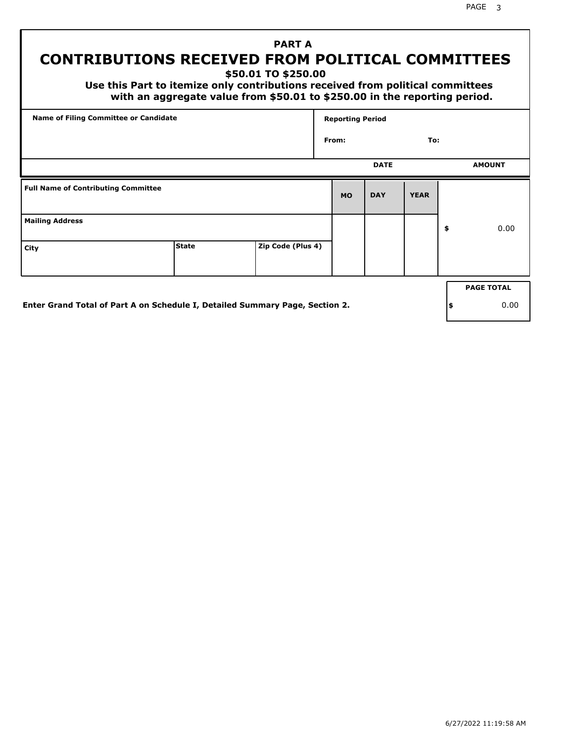# **PART A CONTRIBUTIONS RECEIVED FROM POLITICAL COMMITTEES**

**\$50.01 TO \$250.00**

 **Use this Part to itemize only contributions received from political committees with an aggregate value from \$50.01 to \$250.00 in the reporting period.**

| Name of Filing Committee or Candidate      |              |                   | <b>Reporting Period</b> |             |             |                   |
|--------------------------------------------|--------------|-------------------|-------------------------|-------------|-------------|-------------------|
|                                            |              |                   | From:                   |             | To:         |                   |
|                                            |              |                   |                         | <b>DATE</b> |             | <b>AMOUNT</b>     |
| <b>Full Name of Contributing Committee</b> |              |                   | <b>MO</b>               | <b>DAY</b>  | <b>YEAR</b> |                   |
| <b>Mailing Address</b>                     |              |                   |                         |             |             | \$<br>0.00        |
| City                                       | <b>State</b> | Zip Code (Plus 4) |                         |             |             |                   |
|                                            |              |                   |                         |             |             | <b>PAGE TOTAL</b> |
|                                            |              |                   |                         |             |             |                   |

**Enter Grand Total of Part A on Schedule I, Detailed Summary Page, Section 2.**

**\$** 0.00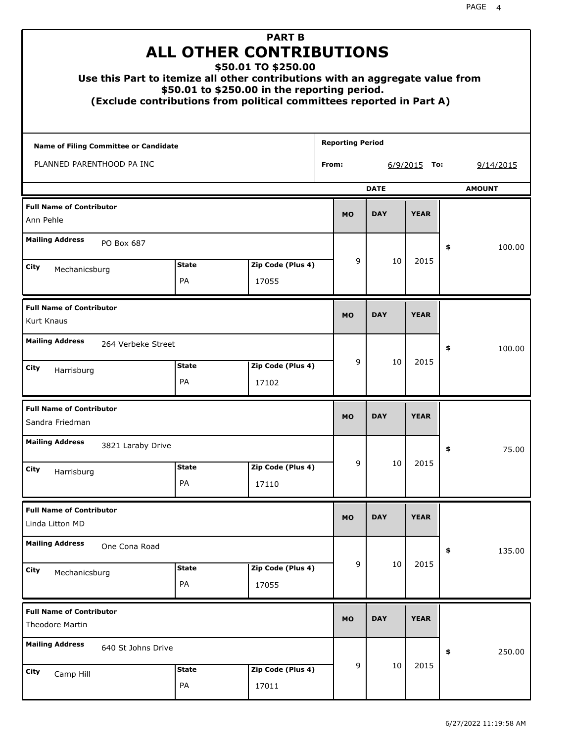| Use this Part to itemize all other contributions with an aggregate value from<br>(Exclude contributions from political committees reported in Part A) |                    | <b>PART B</b><br><b>ALL OTHER CONTRIBUTIONS</b><br>\$50.01 TO \$250.00<br>\$50.01 to \$250.00 in the reporting period. |       |                         |             |                |    |               |
|-------------------------------------------------------------------------------------------------------------------------------------------------------|--------------------|------------------------------------------------------------------------------------------------------------------------|-------|-------------------------|-------------|----------------|----|---------------|
| Name of Filing Committee or Candidate                                                                                                                 |                    |                                                                                                                        |       | <b>Reporting Period</b> |             |                |    |               |
| PLANNED PARENTHOOD PA INC                                                                                                                             |                    |                                                                                                                        | From: |                         |             | $6/9/2015$ To: |    | 9/14/2015     |
|                                                                                                                                                       |                    |                                                                                                                        |       |                         | <b>DATE</b> |                |    | <b>AMOUNT</b> |
| <b>Full Name of Contributor</b><br>Ann Pehle                                                                                                          |                    |                                                                                                                        |       | <b>MO</b>               | <b>DAY</b>  | <b>YEAR</b>    |    |               |
| <b>Mailing Address</b><br>PO Box 687                                                                                                                  |                    |                                                                                                                        |       |                         |             |                | \$ | 100.00        |
| City                                                                                                                                                  | <b>State</b>       | Zip Code (Plus 4)                                                                                                      |       | 9                       | 10          | 2015           |    |               |
| Mechanicsburg                                                                                                                                         | PA                 | 17055                                                                                                                  |       |                         |             |                |    |               |
| <b>Full Name of Contributor</b><br>Kurt Knaus                                                                                                         |                    |                                                                                                                        |       | <b>MO</b>               | <b>DAY</b>  | <b>YEAR</b>    |    |               |
| <b>Mailing Address</b><br>264 Verbeke Street                                                                                                          |                    |                                                                                                                        |       |                         |             |                | \$ | 100.00        |
| City<br>Harrisburg                                                                                                                                    | <b>State</b><br>PA | Zip Code (Plus 4)<br>17102                                                                                             |       | 9                       | 10          | 2015           |    |               |
| <b>Full Name of Contributor</b><br>Sandra Friedman                                                                                                    |                    |                                                                                                                        |       | <b>MO</b>               | <b>DAY</b>  | <b>YEAR</b>    |    |               |
| <b>Mailing Address</b><br>3821 Laraby Drive                                                                                                           |                    |                                                                                                                        |       |                         |             |                | ÷, | 75.00         |
| City<br>Harrisburg                                                                                                                                    | <b>State</b>       | Zip Code (Plus 4)                                                                                                      |       | 9                       | 10          | 2015           |    |               |
|                                                                                                                                                       | PA                 | 17110                                                                                                                  |       |                         |             |                |    |               |
| <b>Full Name of Contributor</b><br>Linda Litton MD                                                                                                    |                    |                                                                                                                        |       | <b>MO</b>               | <b>DAY</b>  | <b>YEAR</b>    |    |               |
| <b>Mailing Address</b><br>One Cona Road                                                                                                               |                    |                                                                                                                        |       |                         |             |                | \$ | 135.00        |
| City<br>Mechanicsburg                                                                                                                                 | <b>State</b><br>PA | Zip Code (Plus 4)<br>17055                                                                                             |       | 9                       | 10          | 2015           |    |               |
| <b>Full Name of Contributor</b><br><b>Theodore Martin</b>                                                                                             |                    |                                                                                                                        |       | <b>MO</b>               | <b>DAY</b>  | <b>YEAR</b>    |    |               |
| <b>Mailing Address</b><br>640 St Johns Drive                                                                                                          |                    |                                                                                                                        |       |                         |             |                | \$ | 250.00        |
| City<br>Camp Hill                                                                                                                                     | <b>State</b><br>PA | Zip Code (Plus 4)<br>17011                                                                                             |       | 9                       | 10          | 2015           |    |               |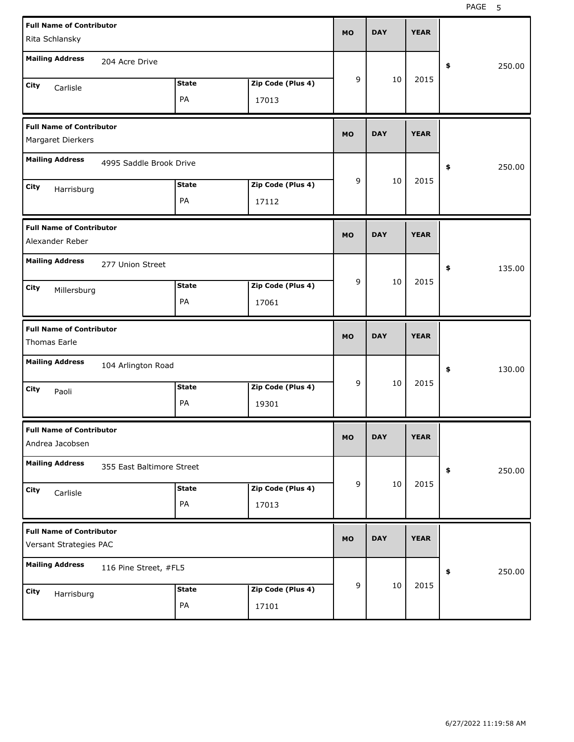| <b>Full Name of Contributor</b><br>Rita Schlansky         |                           |              |                   | <b>MO</b> | <b>DAY</b> | <b>YEAR</b> |              |
|-----------------------------------------------------------|---------------------------|--------------|-------------------|-----------|------------|-------------|--------------|
| <b>Mailing Address</b>                                    |                           |              |                   |           |            |             |              |
|                                                           | 204 Acre Drive            |              |                   |           |            |             | \$<br>250.00 |
| City<br>Carlisle                                          |                           | <b>State</b> | Zip Code (Plus 4) | 9         | 10         | 2015        |              |
|                                                           |                           | PA           | 17013             |           |            |             |              |
| <b>Full Name of Contributor</b><br>Margaret Dierkers      |                           |              |                   | <b>MO</b> | <b>DAY</b> | <b>YEAR</b> |              |
| <b>Mailing Address</b>                                    | 4995 Saddle Brook Drive   |              |                   |           |            |             | \$<br>250.00 |
| City                                                      |                           | <b>State</b> | Zip Code (Plus 4) | 9         | 10         | 2015        |              |
| Harrisburg                                                |                           | PA           | 17112             |           |            |             |              |
| <b>Full Name of Contributor</b>                           |                           |              |                   | <b>MO</b> | <b>DAY</b> | <b>YEAR</b> |              |
| Alexander Reber                                           |                           |              |                   |           |            |             |              |
| <b>Mailing Address</b>                                    | 277 Union Street          |              |                   |           |            |             | \$<br>135.00 |
| City<br>Millersburg                                       |                           | <b>State</b> | Zip Code (Plus 4) | 9         | 10         | 2015        |              |
|                                                           |                           | PA           | 17061             |           |            |             |              |
|                                                           |                           |              |                   |           |            |             |              |
| <b>Full Name of Contributor</b><br>Thomas Earle           |                           |              |                   | <b>MO</b> | <b>DAY</b> | <b>YEAR</b> |              |
| <b>Mailing Address</b>                                    | 104 Arlington Road        |              |                   |           |            |             | \$<br>130.00 |
| City<br>Paoli                                             |                           | <b>State</b> | Zip Code (Plus 4) | 9         | 10         | 2015        |              |
|                                                           |                           | PA           | 19301             |           |            |             |              |
| <b>Full Name of Contributor</b><br>Andrea Jacobsen        |                           |              |                   | <b>MO</b> | DAY        | YEAK        |              |
| <b>Mailing Address</b>                                    | 355 East Baltimore Street |              |                   |           |            |             | \$<br>250.00 |
| City                                                      |                           | <b>State</b> | Zip Code (Plus 4) | 9         | $10\,$     | 2015        |              |
| Carlisle                                                  |                           | PA           | 17013             |           |            |             |              |
| <b>Full Name of Contributor</b><br>Versant Strategies PAC |                           |              |                   | <b>MO</b> | <b>DAY</b> | <b>YEAR</b> |              |
| <b>Mailing Address</b>                                    | 116 Pine Street, #FL5     |              |                   |           |            |             | \$<br>250.00 |
| City<br>Harrisburg                                        |                           | <b>State</b> | Zip Code (Plus 4) | 9         | $10\,$     | 2015        |              |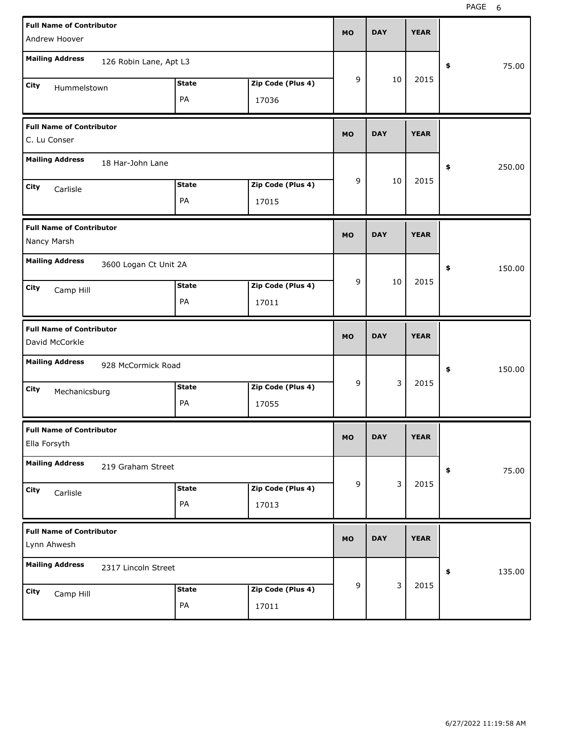| <b>Full Name of Contributor</b><br>Andrew Hoover                          | <b>MO</b> | <b>DAY</b> |    | <b>YEAR</b> |              |
|---------------------------------------------------------------------------|-----------|------------|----|-------------|--------------|
| <b>Mailing Address</b><br>126 Robin Lane, Apt L3                          |           |            |    |             | \$<br>75.00  |
| <b>State</b><br>Zip Code (Plus 4)<br>City<br>Hummelstown<br>PA<br>17036   | 9         |            | 10 | 2015        |              |
| <b>Full Name of Contributor</b><br>C. Lu Conser                           | <b>MO</b> | <b>DAY</b> |    | <b>YEAR</b> |              |
| <b>Mailing Address</b><br>18 Har-John Lane                                |           |            |    |             | \$<br>250.00 |
| Zip Code (Plus 4)<br><b>State</b><br>City<br>Carlisle<br>PA<br>17015      | 9         |            | 10 | 2015        |              |
| <b>Full Name of Contributor</b><br>Nancy Marsh                            | <b>MO</b> | <b>DAY</b> |    | <b>YEAR</b> |              |
| <b>Mailing Address</b><br>3600 Logan Ct Unit 2A                           |           |            |    |             | \$<br>150.00 |
| <b>State</b><br>Zip Code (Plus 4)<br>City<br>Camp Hill<br>PA<br>17011     | 9         |            | 10 | 2015        |              |
|                                                                           |           |            |    |             |              |
| <b>Full Name of Contributor</b><br>David McCorkle                         | <b>MO</b> | <b>DAY</b> |    | <b>YEAR</b> |              |
| <b>Mailing Address</b><br>928 McCormick Road                              |           |            |    |             | \$<br>150.00 |
| <b>State</b><br>Zip Code (Plus 4)<br>City<br>Mechanicsburg<br>PA<br>17055 | 9         |            | 3  | 2015        |              |
| <b>Full Name of Contributor</b><br>Ella Forsyth                           | <b>MO</b> | <b>DAY</b> |    | <b>YEAR</b> |              |
| <b>Mailing Address</b><br>219 Graham Street                               |           |            |    |             | \$<br>75.00  |
| Zip Code (Plus 4)<br><b>State</b><br>City<br>Carlisle<br>PA<br>17013      | 9         |            | 3  | 2015        |              |
| <b>Full Name of Contributor</b><br>Lynn Ahwesh                            | <b>MO</b> | <b>DAY</b> |    | <b>YEAR</b> |              |
| <b>Mailing Address</b><br>2317 Lincoln Street                             |           |            | 3  | 2015        | \$<br>135.00 |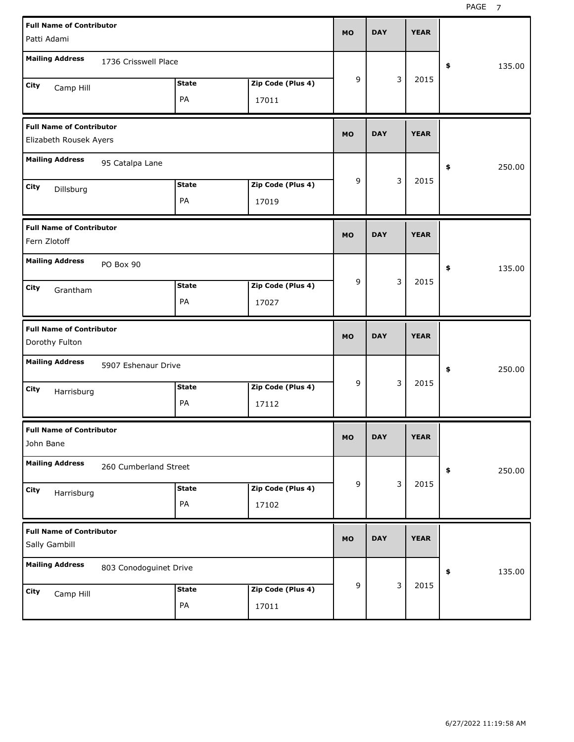| <b>Full Name of Contributor</b><br>Patti Adami            |                        |                    |                            | <b>MO</b> | <b>DAY</b> |   | <b>YEAR</b> |              |
|-----------------------------------------------------------|------------------------|--------------------|----------------------------|-----------|------------|---|-------------|--------------|
| <b>Mailing Address</b>                                    | 1736 Crisswell Place   |                    |                            |           |            |   |             | \$<br>135.00 |
| City<br>Camp Hill                                         |                        | <b>State</b><br>PA | Zip Code (Plus 4)<br>17011 | 9         |            | 3 | 2015        |              |
| <b>Full Name of Contributor</b><br>Elizabeth Rousek Ayers |                        |                    |                            | <b>MO</b> | <b>DAY</b> |   | <b>YEAR</b> |              |
| <b>Mailing Address</b>                                    | 95 Catalpa Lane        |                    |                            |           |            |   |             | \$<br>250.00 |
| City<br>Dillsburg                                         |                        | <b>State</b><br>PA | Zip Code (Plus 4)<br>17019 | 9         |            | 3 | 2015        |              |
| <b>Full Name of Contributor</b><br>Fern Zlotoff           |                        |                    |                            | <b>MO</b> | <b>DAY</b> |   | <b>YEAR</b> |              |
| <b>Mailing Address</b><br>City<br>Grantham                | PO Box 90              | <b>State</b>       | Zip Code (Plus 4)          | 9         |            | 3 | 2015        | \$<br>135.00 |
|                                                           |                        | PA                 | 17027                      |           |            |   |             |              |
| <b>Full Name of Contributor</b><br>Dorothy Fulton         |                        |                    |                            | <b>MO</b> | <b>DAY</b> |   | <b>YEAR</b> |              |
| <b>Mailing Address</b>                                    | 5907 Eshenaur Drive    |                    |                            |           |            |   |             | \$<br>250.00 |
| City<br>Harrisburg                                        |                        | <b>State</b><br>PA | Zip Code (Plus 4)<br>17112 | 9         |            | 3 | 2015        |              |
| <b>Full Name of Contributor</b><br>John Bane              |                        |                    |                            | МO        | <b>DAY</b> |   | <b>YEAR</b> |              |
| <b>Mailing Address</b>                                    | 260 Cumberland Street  |                    |                            |           |            |   |             | \$<br>250.00 |
| City<br>Harrisburg                                        |                        | <b>State</b><br>PA | Zip Code (Plus 4)<br>17102 | 9         |            | 3 | 2015        |              |
| <b>Full Name of Contributor</b><br>Sally Gambill          |                        |                    |                            | <b>MO</b> | <b>DAY</b> |   | <b>YEAR</b> |              |
| <b>Mailing Address</b>                                    | 803 Conodoguinet Drive |                    |                            |           |            | 3 | 2015        | \$<br>135.00 |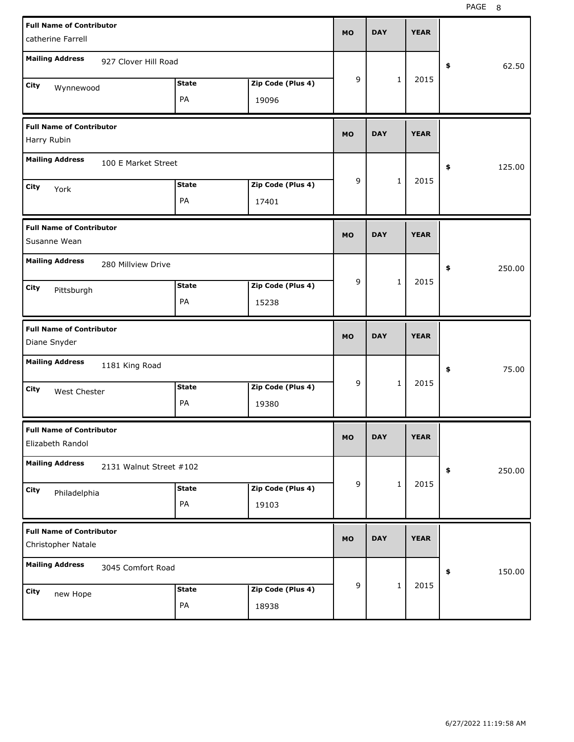| <b>Full Name of Contributor</b><br>catherine Farrell  |                    |                            | <b>MO</b> | <b>DAY</b> |              | <b>YEAR</b> |              |
|-------------------------------------------------------|--------------------|----------------------------|-----------|------------|--------------|-------------|--------------|
| <b>Mailing Address</b><br>927 Clover Hill Road        |                    |                            |           |            |              |             | 62.50<br>\$  |
| City<br>Wynnewood                                     | <b>State</b><br>PA | Zip Code (Plus 4)<br>19096 | 9         |            | $\mathbf{1}$ | 2015        |              |
| <b>Full Name of Contributor</b><br>Harry Rubin        |                    |                            | <b>MO</b> | <b>DAY</b> |              | <b>YEAR</b> |              |
| <b>Mailing Address</b><br>100 E Market Street         |                    |                            |           |            |              |             | 125.00<br>\$ |
| City<br>York                                          | <b>State</b><br>PA | Zip Code (Plus 4)<br>17401 | 9         |            | $\mathbf{1}$ | 2015        |              |
| <b>Full Name of Contributor</b><br>Susanne Wean       |                    |                            | <b>MO</b> | <b>DAY</b> |              | <b>YEAR</b> |              |
| <b>Mailing Address</b><br>280 Millview Drive          |                    |                            |           |            |              |             | 250.00<br>\$ |
| City<br>Pittsburgh                                    | <b>State</b><br>PA | Zip Code (Plus 4)<br>15238 | 9         |            | $\mathbf{1}$ | 2015        |              |
|                                                       |                    |                            |           |            |              |             |              |
| <b>Full Name of Contributor</b><br>Diane Snyder       |                    |                            | <b>MO</b> | <b>DAY</b> |              | <b>YEAR</b> |              |
| <b>Mailing Address</b><br>1181 King Road              |                    |                            |           |            |              |             | 75.00<br>\$  |
| City<br><b>West Chester</b>                           | <b>State</b><br>PA | Zip Code (Plus 4)<br>19380 | 9         |            | $\mathbf{1}$ | 2015        |              |
| <b>Full Name of Contributor</b><br>Elizabeth Randol   |                    |                            | <b>MO</b> | <b>DAY</b> |              | <b>YEAR</b> |              |
| <b>Mailing Address</b><br>2131 Walnut Street #102     |                    |                            |           |            |              |             | \$<br>250.00 |
| City<br>Philadelphia                                  | <b>State</b><br>PA | Zip Code (Plus 4)<br>19103 | 9         |            | $\mathbf 1$  | 2015        |              |
| <b>Full Name of Contributor</b><br>Christopher Natale |                    |                            | <b>MO</b> | <b>DAY</b> |              | <b>YEAR</b> |              |
| <b>Mailing Address</b><br>3045 Comfort Road           |                    |                            | 9         |            | $\mathbf{1}$ | 2015        | 150.00<br>\$ |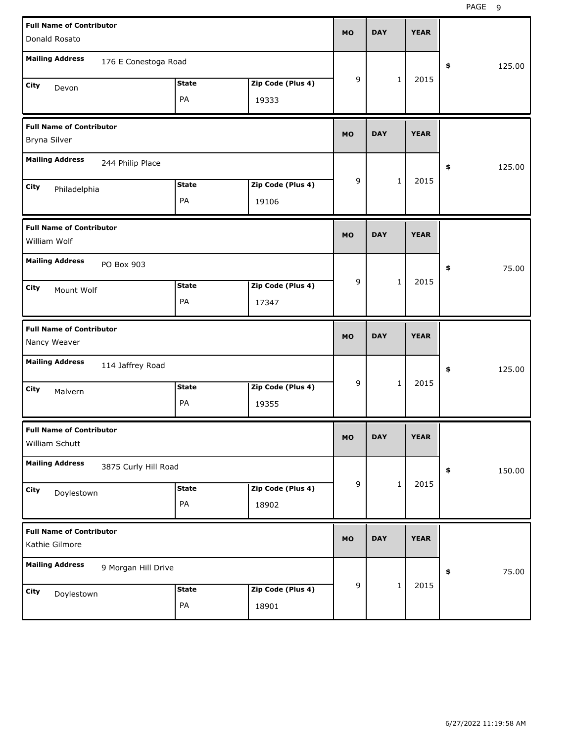| <b>Full Name of Contributor</b><br>Donald Rosato  |                      |              |                   | <b>MO</b> | <b>DAY</b> |              | <b>YEAR</b> |              |
|---------------------------------------------------|----------------------|--------------|-------------------|-----------|------------|--------------|-------------|--------------|
| <b>Mailing Address</b>                            | 176 E Conestoga Road |              |                   |           |            |              |             | \$<br>125.00 |
| City<br>Devon                                     |                      | <b>State</b> | Zip Code (Plus 4) | 9         |            | $\mathbf{1}$ | 2015        |              |
|                                                   |                      | PA           | 19333             |           |            |              |             |              |
| <b>Full Name of Contributor</b><br>Bryna Silver   |                      |              |                   | <b>MO</b> | <b>DAY</b> |              | <b>YEAR</b> |              |
| <b>Mailing Address</b>                            | 244 Philip Place     |              |                   |           |            |              |             | \$<br>125.00 |
| City<br>Philadelphia                              |                      | <b>State</b> | Zip Code (Plus 4) | 9         |            | $\mathbf{1}$ | 2015        |              |
|                                                   |                      | PA           | 19106             |           |            |              |             |              |
| <b>Full Name of Contributor</b><br>William Wolf   |                      |              |                   | <b>MO</b> | <b>DAY</b> |              | <b>YEAR</b> |              |
| <b>Mailing Address</b>                            | PO Box 903           |              |                   |           |            |              |             | \$<br>75.00  |
| City<br>Mount Wolf                                |                      | <b>State</b> | Zip Code (Plus 4) | 9         |            | $\mathbf{1}$ | 2015        |              |
|                                                   |                      | PA           | 17347             |           |            |              |             |              |
|                                                   |                      |              |                   |           |            |              |             |              |
| <b>Full Name of Contributor</b><br>Nancy Weaver   |                      |              |                   | <b>MO</b> | <b>DAY</b> |              | <b>YEAR</b> |              |
| <b>Mailing Address</b>                            | 114 Jaffrey Road     |              |                   |           |            |              |             | \$<br>125.00 |
| City<br>Malvern                                   |                      | <b>State</b> | Zip Code (Plus 4) | 9         |            | $\mathbf{1}$ | 2015        |              |
|                                                   |                      | PA           | 19355             |           |            |              |             |              |
| <b>Full Name of Contributor</b><br>William Schutt |                      |              |                   | МO        | <b>DAY</b> |              | <b>YEAR</b> |              |
| <b>Mailing Address</b>                            | 3875 Curly Hill Road |              |                   |           |            |              |             | \$<br>150.00 |
| City                                              |                      | <b>State</b> | Zip Code (Plus 4) | 9         |            | $\mathbf{1}$ | 2015        |              |
| Doylestown                                        |                      | PA           | 18902             |           |            |              |             |              |
| <b>Full Name of Contributor</b><br>Kathie Gilmore |                      |              |                   | <b>MO</b> | <b>DAY</b> |              | <b>YEAR</b> |              |
| <b>Mailing Address</b>                            | 9 Morgan Hill Drive  |              |                   |           |            |              |             | \$<br>75.00  |
| City<br>Doylestown                                |                      | <b>State</b> | Zip Code (Plus 4) | 9         |            | $\mathbf{1}$ | 2015        |              |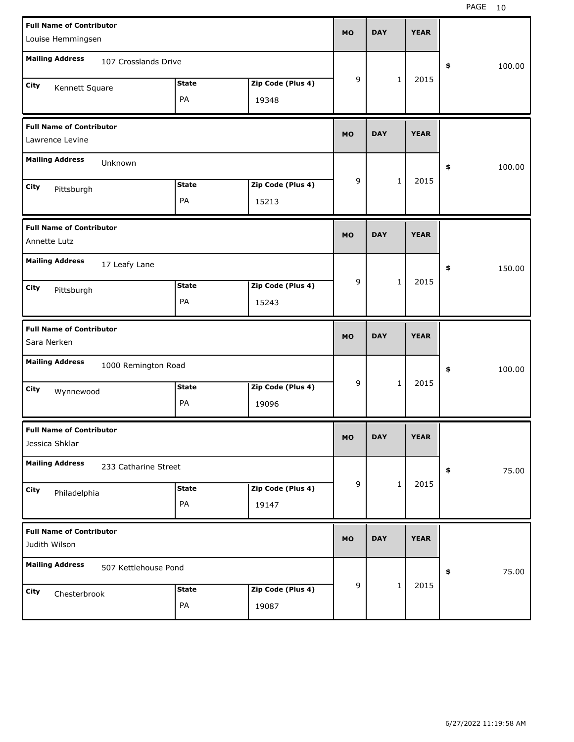| <b>Full Name of Contributor</b><br>Louise Hemmingsen |                    |                            | <b>MO</b> | <b>DAY</b> |              | <b>YEAR</b> |              |
|------------------------------------------------------|--------------------|----------------------------|-----------|------------|--------------|-------------|--------------|
| <b>Mailing Address</b><br>107 Crosslands Drive       |                    |                            |           |            |              |             | \$<br>100.00 |
| City<br>Kennett Square                               | <b>State</b><br>PA | Zip Code (Plus 4)<br>19348 | 9         |            | $\mathbf{1}$ | 2015        |              |
| <b>Full Name of Contributor</b><br>Lawrence Levine   |                    |                            | <b>MO</b> | <b>DAY</b> |              | <b>YEAR</b> |              |
| <b>Mailing Address</b><br>Unknown                    |                    |                            |           |            |              |             | \$<br>100.00 |
| City<br>Pittsburgh                                   | <b>State</b><br>PA | Zip Code (Plus 4)<br>15213 | 9         |            | $\mathbf{1}$ | 2015        |              |
| <b>Full Name of Contributor</b><br>Annette Lutz      |                    |                            | <b>MO</b> | <b>DAY</b> |              | <b>YEAR</b> |              |
| <b>Mailing Address</b><br>17 Leafy Lane              |                    |                            |           |            |              |             | \$<br>150.00 |
| <b>City</b><br>Pittsburgh                            | <b>State</b><br>PA | Zip Code (Plus 4)<br>15243 | 9         |            | $\mathbf{1}$ | 2015        |              |
|                                                      |                    |                            |           |            |              |             |              |
| <b>Full Name of Contributor</b><br>Sara Nerken       |                    |                            | <b>MO</b> | <b>DAY</b> |              | <b>YEAR</b> |              |
| <b>Mailing Address</b><br>1000 Remington Road        |                    |                            |           |            |              |             | \$<br>100.00 |
| City<br>Wynnewood                                    | <b>State</b><br>PA | Zip Code (Plus 4)<br>19096 | 9         |            | $\mathbf{1}$ | 2015        |              |
| <b>Full Name of Contributor</b><br>Jessica Shklar    |                    |                            | <b>MO</b> | <b>DAY</b> |              | <b>YEAR</b> |              |
| <b>Mailing Address</b><br>233 Catharine Street       |                    |                            |           |            |              |             | 75.00<br>\$  |
| City<br>Philadelphia                                 | <b>State</b><br>PA | Zip Code (Plus 4)<br>19147 | 9         |            | $\mathbf{1}$ | 2015        |              |
| <b>Full Name of Contributor</b><br>Judith Wilson     |                    |                            | <b>MO</b> | <b>DAY</b> |              | <b>YEAR</b> |              |
| <b>Mailing Address</b><br>507 Kettlehouse Pond       |                    |                            | 9         |            | $\mathbf{1}$ | 2015        | 75.00<br>\$  |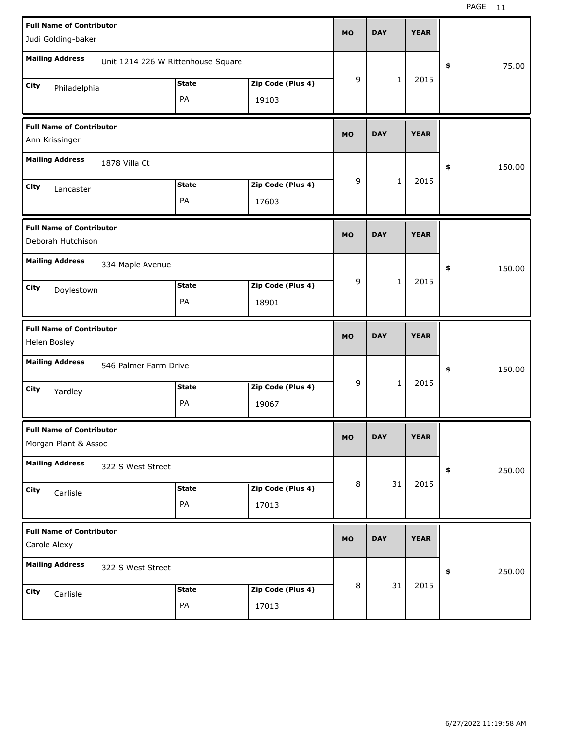| <b>Full Name of Contributor</b>                         |                                    |              |                   | <b>MO</b> | <b>DAY</b>   | <b>YEAR</b> |              |       |
|---------------------------------------------------------|------------------------------------|--------------|-------------------|-----------|--------------|-------------|--------------|-------|
| Judi Golding-baker                                      |                                    |              |                   |           |              |             |              |       |
| <b>Mailing Address</b>                                  | Unit 1214 226 W Rittenhouse Square |              |                   |           |              |             | \$           | 75.00 |
| City<br>Philadelphia                                    |                                    | <b>State</b> | Zip Code (Plus 4) | 9         | $\mathbf{1}$ | 2015        |              |       |
|                                                         |                                    | PA           | 19103             |           |              |             |              |       |
| <b>Full Name of Contributor</b><br>Ann Krissinger       |                                    |              |                   | <b>MO</b> | <b>DAY</b>   | <b>YEAR</b> |              |       |
| <b>Mailing Address</b>                                  | 1878 Villa Ct                      |              |                   |           |              |             | \$<br>150.00 |       |
| City<br>Lancaster                                       |                                    | <b>State</b> | Zip Code (Plus 4) | 9         | $\mathbf{1}$ | 2015        |              |       |
|                                                         |                                    | PA           | 17603             |           |              |             |              |       |
| <b>Full Name of Contributor</b><br>Deborah Hutchison    |                                    |              |                   | <b>MO</b> | <b>DAY</b>   | <b>YEAR</b> |              |       |
| <b>Mailing Address</b>                                  | 334 Maple Avenue                   |              |                   |           |              |             | 150.00<br>\$ |       |
| City<br>Doylestown                                      |                                    | <b>State</b> | Zip Code (Plus 4) | 9         | $\mathbf{1}$ | 2015        |              |       |
|                                                         |                                    | PA           | 18901             |           |              |             |              |       |
|                                                         |                                    |              |                   |           |              |             |              |       |
| <b>Full Name of Contributor</b><br>Helen Bosley         |                                    |              |                   | <b>MO</b> | <b>DAY</b>   | <b>YEAR</b> |              |       |
| <b>Mailing Address</b>                                  | 546 Palmer Farm Drive              |              |                   |           |              |             | \$<br>150.00 |       |
| City                                                    |                                    | <b>State</b> | Zip Code (Plus 4) | 9         | $\mathbf{1}$ | 2015        |              |       |
| Yardley                                                 |                                    | PA           | 19067             |           |              |             |              |       |
| <b>Full Name of Contributor</b><br>Morgan Plant & Assoc |                                    |              |                   | <b>MO</b> | <b>DAY</b>   | <b>YEAR</b> |              |       |
| <b>Mailing Address</b>                                  | 322 S West Street                  |              |                   |           |              |             | 250.00<br>\$ |       |
| City<br>Carlisle                                        |                                    | <b>State</b> | Zip Code (Plus 4) | 8         | 31           | 2015        |              |       |
|                                                         |                                    | PA           | 17013             |           |              |             |              |       |
| <b>Full Name of Contributor</b><br>Carole Alexy         |                                    |              |                   | <b>MO</b> | <b>DAY</b>   | <b>YEAR</b> |              |       |
| <b>Mailing Address</b>                                  | 322 S West Street                  |              |                   |           |              |             | 250.00<br>\$ |       |
| City<br>Carlisle                                        |                                    | <b>State</b> | Zip Code (Plus 4) | 8         | 31           | 2015        |              |       |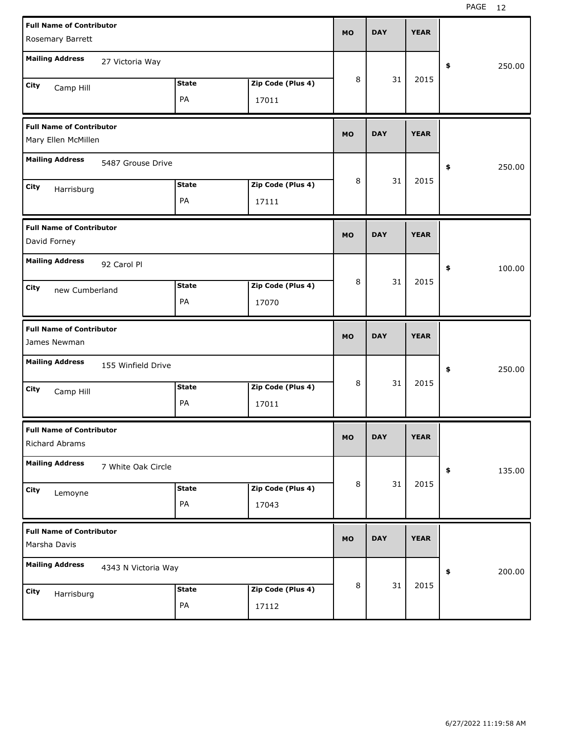| <b>Full Name of Contributor</b><br>Rosemary Barrett |                   | <b>MO</b> | <b>DAY</b> | <b>YEAR</b> |              |
|-----------------------------------------------------|-------------------|-----------|------------|-------------|--------------|
|                                                     |                   |           |            |             |              |
| <b>Mailing Address</b><br>27 Victoria Way           |                   |           |            |             | \$<br>250.00 |
| <b>State</b><br>City<br>Camp Hill                   | Zip Code (Plus 4) | 8         | 31         | 2015        |              |
| PA                                                  | 17011             |           |            |             |              |
| <b>Full Name of Contributor</b>                     |                   | <b>MO</b> | <b>DAY</b> | <b>YEAR</b> |              |
| Mary Ellen McMillen                                 |                   |           |            |             |              |
| <b>Mailing Address</b><br>5487 Grouse Drive         |                   |           |            |             | \$<br>250.00 |
| <b>State</b><br>City<br>Harrisburg                  | Zip Code (Plus 4) | 8         | 31         | 2015        |              |
| PA                                                  | 17111             |           |            |             |              |
| <b>Full Name of Contributor</b>                     |                   | <b>MO</b> | <b>DAY</b> | <b>YEAR</b> |              |
| David Forney                                        |                   |           |            |             |              |
| <b>Mailing Address</b><br>92 Carol Pl               |                   |           |            |             | \$<br>100.00 |
| <b>State</b><br>City<br>new Cumberland              | Zip Code (Plus 4) | 8         | 31         | 2015        |              |
| PA                                                  | 17070             |           |            |             |              |
|                                                     |                   |           |            |             |              |
| <b>Full Name of Contributor</b>                     |                   | <b>MO</b> | <b>DAY</b> | <b>YEAR</b> |              |
| James Newman                                        |                   |           |            |             |              |
| <b>Mailing Address</b><br>155 Winfield Drive        |                   |           |            |             | \$<br>250.00 |
| <b>State</b><br>City                                | Zip Code (Plus 4) | 8         | 31         | 2015        |              |
| Camp Hill<br>PA                                     | 17011             |           |            |             |              |
| <b>Full Name of Contributor</b>                     |                   |           |            |             |              |
| Richard Abrams                                      |                   | <b>MO</b> | <b>DAY</b> | <b>YEAR</b> |              |
| <b>Mailing Address</b><br>7 White Oak Circle        |                   |           |            |             | \$<br>135.00 |
| <b>State</b><br><b>City</b>                         | Zip Code (Plus 4) | 8         | 31         | 2015        |              |
| Lemoyne<br>PA                                       | 17043             |           |            |             |              |
| <b>Full Name of Contributor</b><br>Marsha Davis     |                   | <b>MO</b> | <b>DAY</b> | <b>YEAR</b> |              |
| <b>Mailing Address</b><br>4343 N Victoria Way       |                   |           |            |             | \$<br>200.00 |
| <b>State</b><br>City<br>Harrisburg                  | Zip Code (Plus 4) | 8         | 31         | 2015        |              |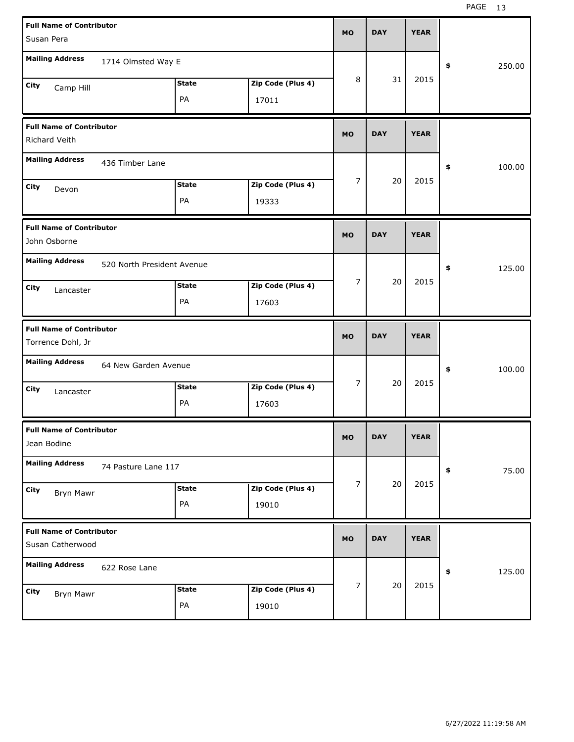| <b>Full Name of Contributor</b><br>Susan Pera        |                            |                    |                            | <b>MO</b>      | <b>DAY</b> | <b>YEAR</b> |              |
|------------------------------------------------------|----------------------------|--------------------|----------------------------|----------------|------------|-------------|--------------|
| <b>Mailing Address</b>                               | 1714 Olmsted Way E         |                    |                            |                |            |             | \$<br>250.00 |
| City<br>Camp Hill                                    |                            | <b>State</b><br>PA | Zip Code (Plus 4)<br>17011 | 8              | 31         | 2015        |              |
| <b>Full Name of Contributor</b><br>Richard Veith     |                            |                    |                            | <b>MO</b>      | <b>DAY</b> | <b>YEAR</b> |              |
| <b>Mailing Address</b>                               | 436 Timber Lane            |                    |                            |                |            |             | \$<br>100.00 |
| City<br>Devon                                        |                            | <b>State</b><br>PA | Zip Code (Plus 4)<br>19333 | $\overline{7}$ | 20         | 2015        |              |
| <b>Full Name of Contributor</b><br>John Osborne      |                            |                    |                            | <b>MO</b>      | <b>DAY</b> | <b>YEAR</b> |              |
| <b>Mailing Address</b>                               | 520 North President Avenue |                    |                            |                |            |             | \$<br>125.00 |
| City<br>Lancaster                                    |                            | <b>State</b><br>PA | Zip Code (Plus 4)<br>17603 | 7              | 20         | 2015        |              |
|                                                      |                            |                    |                            |                |            |             |              |
| <b>Full Name of Contributor</b><br>Torrence Dohl, Jr |                            |                    |                            | <b>MO</b>      | <b>DAY</b> | <b>YEAR</b> |              |
| <b>Mailing Address</b>                               | 64 New Garden Avenue       |                    |                            |                |            |             | \$<br>100.00 |
| City<br>Lancaster                                    |                            | <b>State</b><br>PA | Zip Code (Plus 4)<br>17603 | 7              | 20         | 2015        |              |
| <b>Full Name of Contributor</b><br>Jean Bodine       |                            |                    |                            | <b>MO</b>      | <b>DAY</b> | <b>YEAR</b> |              |
| <b>Mailing Address</b>                               | 74 Pasture Lane 117        |                    |                            |                |            |             | \$<br>75.00  |
| City<br><b>Bryn Mawr</b>                             |                            | <b>State</b><br>PA | Zip Code (Plus 4)<br>19010 | 7              | 20         | 2015        |              |
| <b>Full Name of Contributor</b><br>Susan Catherwood  |                            |                    |                            | <b>MO</b>      | <b>DAY</b> | <b>YEAR</b> |              |
| <b>Mailing Address</b>                               | 622 Rose Lane              |                    |                            |                | 20         | 2015        | \$<br>125.00 |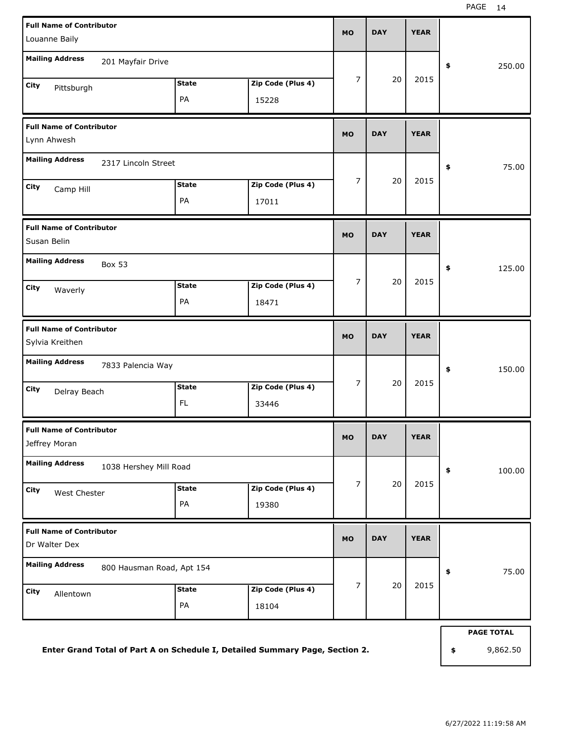| <b>Full Name of Contributor</b><br>Louanne Baily    |                    |                            | <b>MO</b>      | <b>DAY</b> | <b>YEAR</b> |                   |
|-----------------------------------------------------|--------------------|----------------------------|----------------|------------|-------------|-------------------|
| <b>Mailing Address</b><br>201 Mayfair Drive         |                    |                            | $\overline{7}$ | 20         | 2015        | \$<br>250.00      |
| City<br>Pittsburgh                                  | <b>State</b><br>PA | Zip Code (Plus 4)<br>15228 |                |            |             |                   |
| <b>Full Name of Contributor</b><br>Lynn Ahwesh      |                    |                            | <b>MO</b>      | <b>DAY</b> | <b>YEAR</b> |                   |
| <b>Mailing Address</b><br>2317 Lincoln Street       |                    |                            |                |            |             | \$<br>75.00       |
| City<br>Camp Hill                                   | <b>State</b><br>PA | Zip Code (Plus 4)<br>17011 | $\overline{7}$ | 20         | 2015        |                   |
| <b>Full Name of Contributor</b><br>Susan Belin      |                    |                            | <b>MO</b>      | <b>DAY</b> | <b>YEAR</b> |                   |
| <b>Mailing Address</b><br><b>Box 53</b>             | <b>State</b>       |                            | $\overline{7}$ | 20         | 2015        | \$<br>125.00      |
| City<br>Waverly                                     | PA                 | Zip Code (Plus 4)<br>18471 |                |            |             |                   |
| <b>Full Name of Contributor</b><br>Sylvia Kreithen  |                    |                            | <b>MO</b>      | <b>DAY</b> | <b>YEAR</b> |                   |
| <b>Mailing Address</b><br>7833 Palencia Way         |                    |                            |                |            |             | \$<br>150.00      |
| City<br>Delray Beach                                | <b>State</b><br>FL | Zip Code (Plus 4)<br>33446 | $\overline{7}$ | 20         | 2015        |                   |
| <b>Full Name of Contributor</b><br>Jeffrey Moran    |                    |                            | MO             | <b>DAY</b> | <b>YEAR</b> |                   |
| <b>Mailing Address</b><br>1038 Hershey Mill Road    |                    |                            |                |            |             | \$<br>100.00      |
| City<br>West Chester                                | <b>State</b><br>PA | Zip Code (Plus 4)<br>19380 | 7              | 20         | 2015        |                   |
| <b>Full Name of Contributor</b><br>Dr Walter Dex    |                    |                            | <b>MO</b>      | <b>DAY</b> | <b>YEAR</b> |                   |
| <b>Mailing Address</b><br>800 Hausman Road, Apt 154 |                    |                            |                |            |             | 75.00<br>\$       |
| City<br>Allentown                                   | <b>State</b><br>PA | Zip Code (Plus 4)<br>18104 | 7              | 20         | 2015        |                   |
|                                                     |                    |                            |                |            |             | <b>PAGE TOTAL</b> |

**Enter Grand Total of Part A on Schedule I, Detailed Summary Page, Section 2.**

**\$** 9,862.50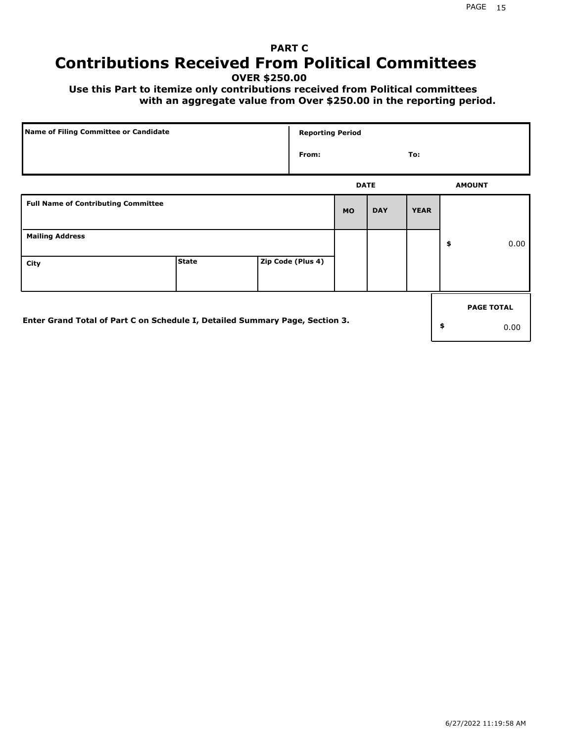## **PART C Contributions Received From Political Committees**

**OVER \$250.00**

 **Use this Part to itemize only contributions received from Political committees with an aggregate value from Over \$250.00 in the reporting period.**

| Name of Filing Committee or Candidate                                        |              | <b>Reporting Period</b> |             |            |             |                   |
|------------------------------------------------------------------------------|--------------|-------------------------|-------------|------------|-------------|-------------------|
|                                                                              |              | From:                   |             |            | To:         |                   |
|                                                                              |              |                         | <b>DATE</b> |            |             | <b>AMOUNT</b>     |
| <b>Full Name of Contributing Committee</b>                                   |              |                         | <b>MO</b>   | <b>DAY</b> | <b>YEAR</b> |                   |
| <b>Mailing Address</b>                                                       |              |                         |             |            |             | \$<br>0.00        |
| City                                                                         | <b>State</b> | Zip Code (Plus 4)       |             |            |             |                   |
|                                                                              |              |                         |             |            |             | <b>PAGE TOTAL</b> |
| Enter Grand Total of Part C on Schedule I, Detailed Summary Page, Section 3. |              |                         |             |            |             | \$<br>0.00        |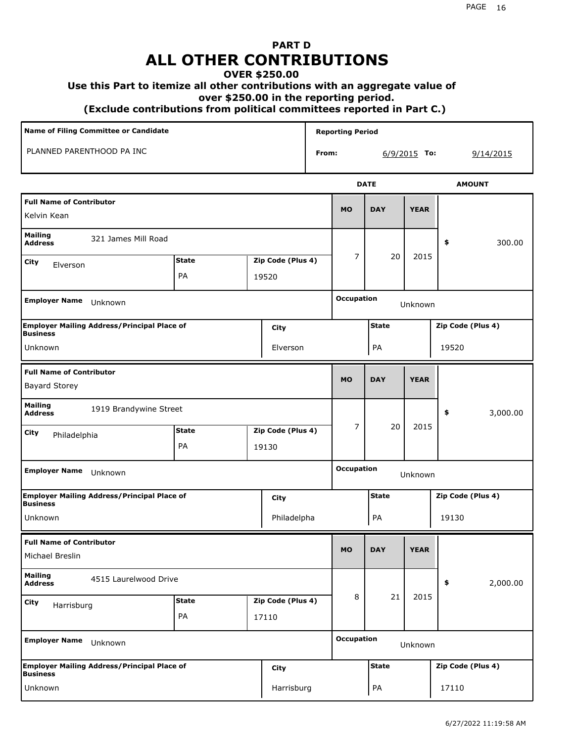# **PART D ALL OTHER CONTRIBUTIONS**

#### **OVER \$250.00**

#### **Use this Part to itemize all other contributions with an aggregate value of**

 **over \$250.00 in the reporting period.**

 **(Exclude contributions from political committees reported in Part C.)** 

| Name of Filing Committee or Candidate                                 |              |       |                   |       | <b>Reporting Period</b> |              |              |                   |
|-----------------------------------------------------------------------|--------------|-------|-------------------|-------|-------------------------|--------------|--------------|-------------------|
| PLANNED PARENTHOOD PA INC                                             |              |       |                   | From: |                         |              | 6/9/2015 To: | 9/14/2015         |
|                                                                       |              |       |                   |       |                         | <b>DATE</b>  |              | <b>AMOUNT</b>     |
| <b>Full Name of Contributor</b><br>Kelvin Kean                        |              |       |                   |       | <b>MO</b>               | <b>DAY</b>   | <b>YEAR</b>  |                   |
| <b>Mailing</b><br>321 James Mill Road<br><b>Address</b>               |              |       |                   |       |                         |              |              | 300.00<br>\$      |
| City<br>Elverson                                                      | <b>State</b> |       | Zip Code (Plus 4) |       | 7                       | 20           | 2015         |                   |
|                                                                       | PA           | 19520 |                   |       |                         |              |              |                   |
| <b>Employer Name</b><br>Unknown                                       |              |       |                   |       | <b>Occupation</b>       |              | Unknown      |                   |
| <b>Employer Mailing Address/Principal Place of</b><br>Business        |              |       | City              |       |                         | <b>State</b> |              | Zip Code (Plus 4) |
| Unknown                                                               |              |       | Elverson          |       |                         | PA           |              | 19520             |
| <b>Full Name of Contributor</b><br><b>Bayard Storey</b>               |              |       |                   |       | <b>MO</b>               | <b>DAY</b>   | <b>YEAR</b>  |                   |
| <b>Mailing</b><br>1919 Brandywine Street<br><b>Address</b>            |              |       |                   |       |                         |              |              | 3,000.00<br>\$    |
| City<br>Philadelphia                                                  | <b>State</b> |       | Zip Code (Plus 4) |       | $\overline{7}$          | 20           | 2015         |                   |
|                                                                       | PA           | 19130 |                   |       |                         |              |              |                   |
| Employer Name Unknown                                                 |              |       |                   |       | <b>Occupation</b>       |              | Unknown      |                   |
| <b>Employer Mailing Address/Principal Place of</b><br><b>Business</b> |              |       | City              |       |                         | <b>State</b> |              | Zip Code (Plus 4) |
| Unknown                                                               |              |       | Philadelpha       |       |                         | PA           |              | 19130             |
| <b>Full Name of Contributor</b><br>Michael Breslin                    |              |       |                   |       | <b>MO</b>               | <b>DAY</b>   | <b>YEAR</b>  |                   |
| <b>Mailing</b><br>4515 Laurelwood Drive<br><b>Address</b>             |              |       |                   |       |                         |              |              | 2,000.00<br>\$    |
| City<br>Harrisburg                                                    | <b>State</b> |       | Zip Code (Plus 4) |       | 8                       | 21           | 2015         |                   |
|                                                                       | PA           | 17110 |                   |       |                         |              |              |                   |
| <b>Employer Name</b><br>Unknown                                       |              |       |                   |       | <b>Occupation</b>       |              | Unknown      |                   |
| Employer Mailing Address/Principal Place of<br> Business              |              |       | City              |       |                         | <b>State</b> |              | Zip Code (Plus 4) |
| Unknown                                                               |              |       | Harrisburg        |       |                         | PA           |              | 17110             |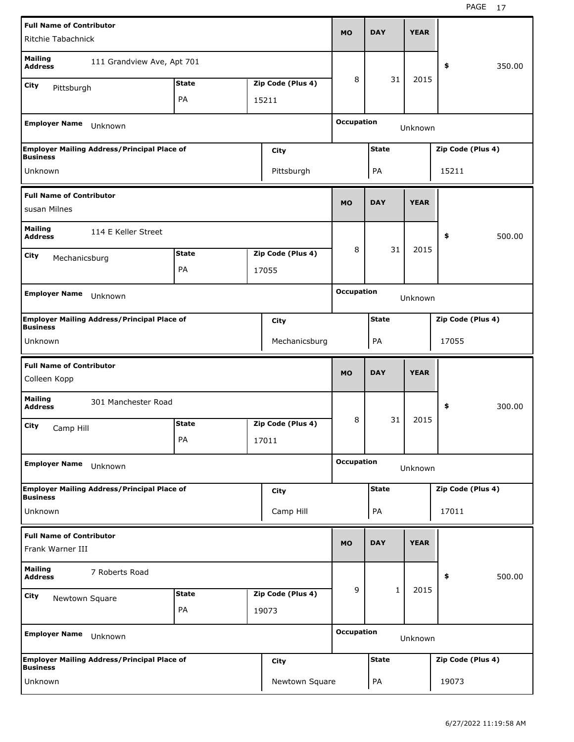| <b>Full Name of Contributor</b>                     |                                                    |              |                   |                   |              |             |                   |        |
|-----------------------------------------------------|----------------------------------------------------|--------------|-------------------|-------------------|--------------|-------------|-------------------|--------|
| Ritchie Tabachnick                                  |                                                    |              |                   | <b>MO</b>         | <b>DAY</b>   | <b>YEAR</b> |                   |        |
| <b>Mailing</b><br><b>Address</b>                    | 111 Grandview Ave, Apt 701                         |              |                   |                   |              |             | \$                | 350.00 |
| City<br>Pittsburgh                                  |                                                    | <b>State</b> | Zip Code (Plus 4) | 8                 | 31           | 2015        |                   |        |
|                                                     |                                                    | PA           | 15211             |                   |              |             |                   |        |
|                                                     |                                                    |              |                   |                   |              |             |                   |        |
| <b>Employer Name</b>                                | Unknown                                            |              |                   | <b>Occupation</b> |              | Unknown     |                   |        |
| <b>Business</b>                                     | <b>Employer Mailing Address/Principal Place of</b> |              | City              |                   | <b>State</b> |             | Zip Code (Plus 4) |        |
| Unknown                                             |                                                    |              | Pittsburgh        |                   | PA           |             | 15211             |        |
| <b>Full Name of Contributor</b>                     |                                                    |              |                   |                   |              |             |                   |        |
| susan Milnes                                        |                                                    |              |                   | <b>MO</b>         | <b>DAY</b>   | <b>YEAR</b> |                   |        |
| <b>Mailing</b><br><b>Address</b>                    | 114 E Keller Street                                |              |                   |                   |              |             | \$                | 500.00 |
| City<br>Mechanicsburg                               |                                                    | <b>State</b> | Zip Code (Plus 4) | 8                 | 31           | 2015        |                   |        |
|                                                     |                                                    | PA           | 17055             |                   |              |             |                   |        |
|                                                     |                                                    |              |                   |                   |              |             |                   |        |
| <b>Employer Name</b>                                | Unknown                                            |              |                   | <b>Occupation</b> |              | Unknown     |                   |        |
| <b>Business</b>                                     | <b>Employer Mailing Address/Principal Place of</b> |              | City              |                   | <b>State</b> |             | Zip Code (Plus 4) |        |
| Unknown                                             |                                                    |              | Mechanicsburg     |                   | PA           |             | 17055             |        |
|                                                     |                                                    |              |                   |                   |              |             |                   |        |
| <b>Full Name of Contributor</b><br>Colleen Kopp     |                                                    |              |                   | <b>MO</b>         | <b>DAY</b>   | <b>YEAR</b> |                   |        |
|                                                     |                                                    |              |                   |                   |              |             |                   |        |
| <b>Mailing</b><br><b>Address</b>                    | 301 Manchester Road                                |              |                   |                   |              |             | \$                | 300.00 |
| City                                                |                                                    | <b>State</b> | Zip Code (Plus 4) | 8                 | 31           | 2015        |                   |        |
| Camp Hill                                           |                                                    | PА           | 17011             |                   |              |             |                   |        |
|                                                     |                                                    |              |                   |                   |              |             |                   |        |
| <b>Employer Name</b>                                | Unknown                                            |              |                   | <b>Occupation</b> |              | Unknown     |                   |        |
|                                                     | <b>Employer Mailing Address/Principal Place of</b> |              | <b>City</b>       |                   | <b>State</b> |             | Zip Code (Plus 4) |        |
| <b>Business</b><br>Unknown                          |                                                    |              | Camp Hill         |                   | PA           |             | 17011             |        |
|                                                     |                                                    |              |                   |                   |              |             |                   |        |
| <b>Full Name of Contributor</b><br>Frank Warner III |                                                    |              |                   | <b>MO</b>         | <b>DAY</b>   | <b>YEAR</b> |                   |        |
| <b>Mailing</b><br><b>Address</b>                    | 7 Roberts Road                                     |              |                   |                   |              |             | \$                | 500.00 |
| City                                                |                                                    | <b>State</b> | Zip Code (Plus 4) | 9                 | $\mathbf{1}$ | 2015        |                   |        |
| Newtown Square                                      |                                                    | PA           | 19073             |                   |              |             |                   |        |
| <b>Employer Name</b>                                | Unknown                                            |              |                   | <b>Occupation</b> |              | Unknown     |                   |        |
|                                                     |                                                    |              |                   |                   |              |             |                   |        |
| <b>Business</b>                                     | <b>Employer Mailing Address/Principal Place of</b> |              | <b>City</b>       |                   | <b>State</b> |             | Zip Code (Plus 4) |        |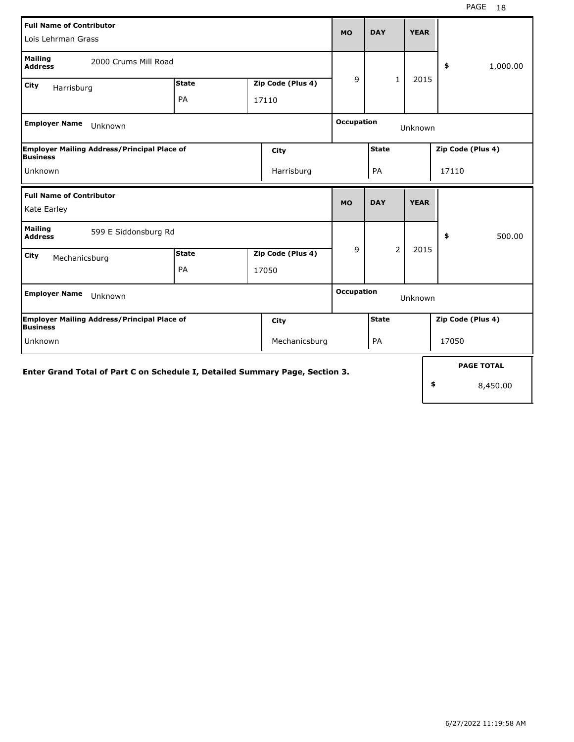| <b>Full Name of Contributor</b><br>Lois Lehrman Grass                        |              |                   | <b>MO</b>         | <b>DAY</b>   | <b>YEAR</b> |                   |
|------------------------------------------------------------------------------|--------------|-------------------|-------------------|--------------|-------------|-------------------|
| <b>Mailing</b><br>2000 Crums Mill Road<br><b>Address</b>                     |              |                   |                   |              |             | 1,000.00<br>\$    |
| City<br>Harrisburg                                                           | <b>State</b> | Zip Code (Plus 4) | 9                 | $\mathbf{1}$ | 2015        |                   |
|                                                                              | PA           | 17110             |                   |              |             |                   |
| <b>Employer Name</b><br>Unknown                                              |              |                   | <b>Occupation</b> |              | Unknown     |                   |
| <b>Employer Mailing Address/Principal Place of</b><br><b>Business</b>        |              | City              |                   | <b>State</b> |             | Zip Code (Plus 4) |
| Unknown                                                                      |              | Harrisburg        |                   | PA           |             | 17110             |
| <b>Full Name of Contributor</b>                                              |              |                   | <b>MO</b>         | <b>DAY</b>   | <b>YEAR</b> |                   |
| Kate Earley                                                                  |              |                   |                   |              |             |                   |
| <b>Mailing</b><br>599 E Siddonsburg Rd<br><b>Address</b>                     |              |                   |                   |              |             | \$<br>500.00      |
| City<br>Mechanicsburg                                                        | <b>State</b> | Zip Code (Plus 4) | 9                 | 2            | 2015        |                   |
|                                                                              | PA           | 17050             |                   |              |             |                   |
| <b>Employer Name</b><br>Unknown                                              |              |                   | <b>Occupation</b> |              | Unknown     |                   |
| Employer Mailing Address/Principal Place of<br><b>Business</b>               |              | City              |                   | <b>State</b> |             | Zip Code (Plus 4) |
| Unknown                                                                      |              | Mechanicsburg     |                   | PA           |             | 17050             |
| Enter Grand Total of Part C on Schedule I, Detailed Summary Page, Section 3. |              |                   |                   |              |             | <b>PAGE TOTAL</b> |
|                                                                              |              |                   |                   |              |             | \$<br>8,450.00    |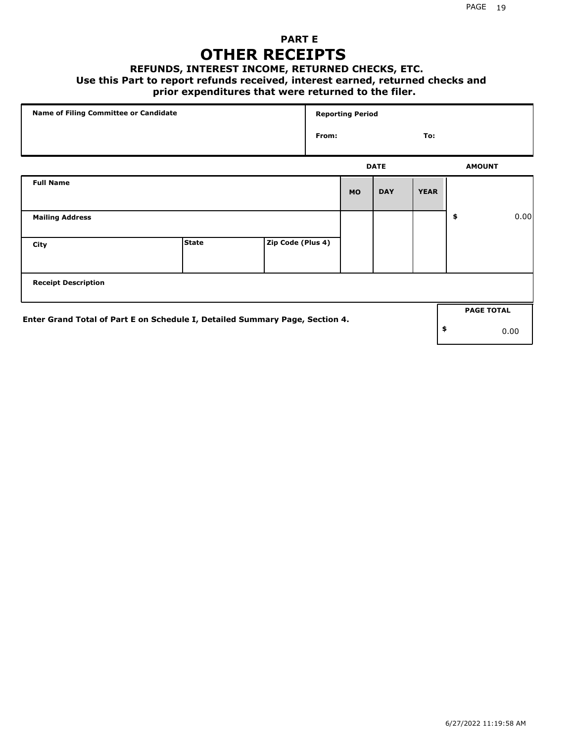## **PART E OTHER RECEIPTS**

#### **REFUNDS, INTEREST INCOME, RETURNED CHECKS, ETC.**

#### **Use this Part to report refunds received, interest earned, returned checks and**

## **prior expenditures that were returned to the filer.**

| Name of Filing Committee or Candidate                                        |              |                   |       | <b>Reporting Period</b> |             |             |                   |      |
|------------------------------------------------------------------------------|--------------|-------------------|-------|-------------------------|-------------|-------------|-------------------|------|
|                                                                              |              |                   | From: |                         |             | To:         |                   |      |
|                                                                              |              |                   |       |                         | <b>DATE</b> |             | <b>AMOUNT</b>     |      |
| <b>Full Name</b>                                                             |              |                   |       | <b>MO</b>               | <b>DAY</b>  | <b>YEAR</b> |                   |      |
| <b>Mailing Address</b>                                                       |              |                   |       |                         |             |             | \$                | 0.00 |
| City                                                                         | <b>State</b> | Zip Code (Plus 4) |       |                         |             |             |                   |      |
| <b>Receipt Description</b>                                                   |              |                   |       |                         |             |             |                   |      |
| Enter Grand Total of Part E on Schedule I, Detailed Summary Page, Section 4. |              |                   |       |                         |             |             | <b>PAGE TOTAL</b> |      |
|                                                                              |              |                   |       |                         |             |             | \$                | 0.00 |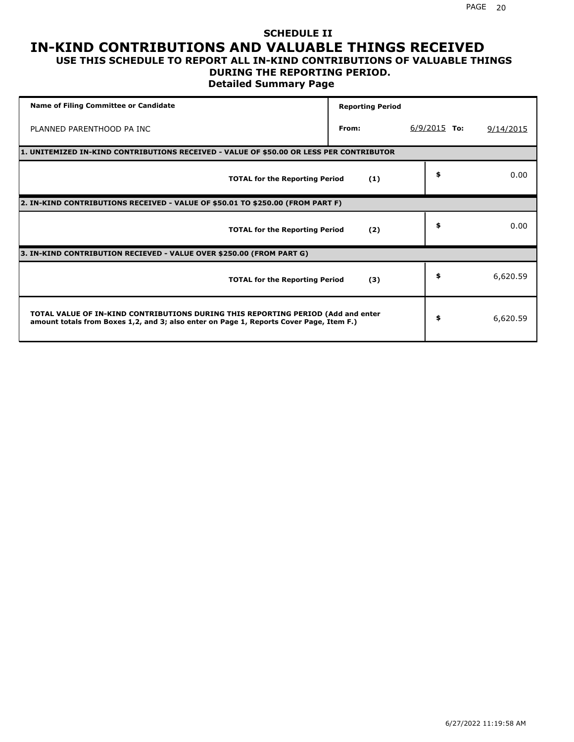### **SCHEDULE II IN-KIND CONTRIBUTIONS AND VALUABLE THINGS RECEIVED USE THIS SCHEDULE TO REPORT ALL IN-KIND CONTRIBUTIONS OF VALUABLE THINGS**

### **DURING THE REPORTING PERIOD.**

**Detailed Summary Page**

| <b>Name of Filing Committee or Candidate</b>                                                                                                                                | <b>Reporting Period</b> |                |           |
|-----------------------------------------------------------------------------------------------------------------------------------------------------------------------------|-------------------------|----------------|-----------|
| PLANNED PARENTHOOD PA INC                                                                                                                                                   | From:                   | $6/9/2015$ To: | 9/14/2015 |
| 1. UNITEMIZED IN-KIND CONTRIBUTIONS RECEIVED - VALUE OF \$50.00 OR LESS PER CONTRIBUTOR                                                                                     |                         |                |           |
| <b>TOTAL for the Reporting Period</b>                                                                                                                                       | (1)                     | \$             | 0.00      |
| 2. IN-KIND CONTRIBUTIONS RECEIVED - VALUE OF \$50.01 TO \$250.00 (FROM PART F)                                                                                              |                         |                |           |
| <b>TOTAL for the Reporting Period</b>                                                                                                                                       | (2)                     | \$             | 0.00      |
| 3. IN-KIND CONTRIBUTION RECIEVED - VALUE OVER \$250.00 (FROM PART G)                                                                                                        |                         |                |           |
| <b>TOTAL for the Reporting Period</b>                                                                                                                                       | (3)                     | \$             | 6,620.59  |
| TOTAL VALUE OF IN-KIND CONTRIBUTIONS DURING THIS REPORTING PERIOD (Add and enter<br>amount totals from Boxes 1,2, and 3; also enter on Page 1, Reports Cover Page, Item F.) |                         | \$             | 6,620.59  |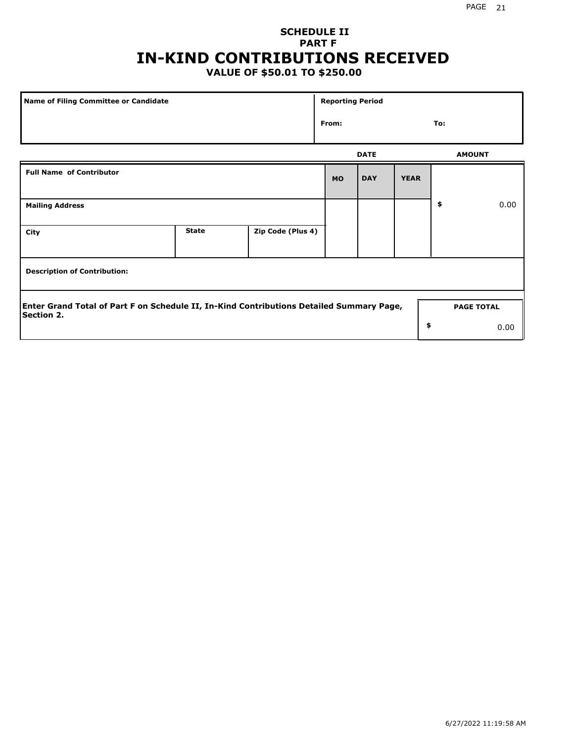## **SCHEDULE II PART F IN-KIND CONTRIBUTIONS RECEIVED**

## **VALUE OF \$50.01 TO \$250.00**

| <b>Name of Filing Committee or Candidate</b>                                                                  |              |                   | <b>Reporting Period</b> |             |             |                   |      |
|---------------------------------------------------------------------------------------------------------------|--------------|-------------------|-------------------------|-------------|-------------|-------------------|------|
|                                                                                                               |              |                   | From:                   |             |             | To:               |      |
|                                                                                                               |              |                   |                         | <b>DATE</b> |             | <b>AMOUNT</b>     |      |
| <b>Full Name of Contributor</b>                                                                               |              |                   | <b>MO</b>               | <b>DAY</b>  | <b>YEAR</b> |                   |      |
| <b>Mailing Address</b>                                                                                        |              |                   |                         |             |             | \$                | 0.00 |
| City                                                                                                          | <b>State</b> | Zip Code (Plus 4) |                         |             |             |                   |      |
| <b>Description of Contribution:</b>                                                                           |              |                   |                         |             |             |                   |      |
| Enter Grand Total of Part F on Schedule II, In-Kind Contributions Detailed Summary Page,<br><b>Section 2.</b> |              |                   |                         |             |             | <b>PAGE TOTAL</b> |      |
|                                                                                                               |              |                   |                         |             | \$          |                   | 0.00 |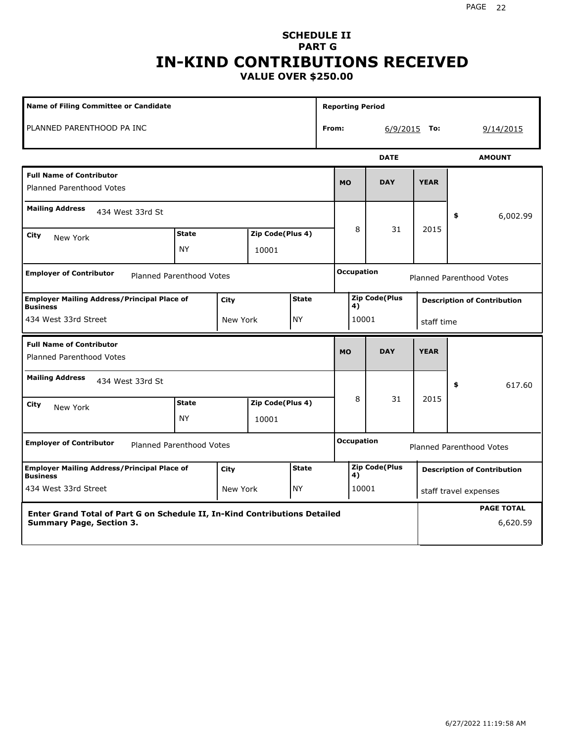### **SCHEDULE II PART G IN-KIND CONTRIBUTIONS RECEIVED VALUE OVER \$250.00**

| <b>Name of Filing Committee or Candidate</b>                                                                  |                                 |          |                           |              |       | <b>Reporting Period</b> |                      |             |                                    |
|---------------------------------------------------------------------------------------------------------------|---------------------------------|----------|---------------------------|--------------|-------|-------------------------|----------------------|-------------|------------------------------------|
| PLANNED PARENTHOOD PA INC                                                                                     |                                 |          |                           |              | From: |                         | $6/9/2015$ To:       |             | 9/14/2015                          |
|                                                                                                               |                                 |          |                           |              |       |                         | <b>DATE</b>          |             | <b>AMOUNT</b>                      |
| <b>Full Name of Contributor</b><br><b>Planned Parenthood Votes</b>                                            |                                 |          |                           |              |       | <b>MO</b>               | <b>DAY</b>           | <b>YEAR</b> |                                    |
| <b>Mailing Address</b><br>434 West 33rd St                                                                    |                                 |          |                           |              |       |                         |                      |             | \$<br>6,002.99                     |
| City<br>New York                                                                                              | <b>State</b><br><b>NY</b>       |          | Zip Code(Plus 4)<br>10001 |              |       | 8                       | 31                   | 2015        |                                    |
| <b>Employer of Contributor</b>                                                                                | Planned Parenthood Votes        |          |                           |              |       | <b>Occupation</b>       |                      |             | <b>Planned Parenthood Votes</b>    |
| <b>Employer Mailing Address/Principal Place of</b><br><b>Business</b>                                         |                                 | City     |                           | <b>State</b> |       | 4)                      | <b>Zip Code(Plus</b> |             | <b>Description of Contribution</b> |
| 434 West 33rd Street                                                                                          |                                 | New York |                           | <b>NY</b>    |       | 10001                   |                      | staff time  |                                    |
| <b>Full Name of Contributor</b><br><b>Planned Parenthood Votes</b>                                            |                                 |          |                           |              |       | <b>MO</b>               | <b>DAY</b>           | <b>YEAR</b> |                                    |
| <b>Mailing Address</b><br>434 West 33rd St                                                                    |                                 |          |                           |              |       |                         |                      |             | 617.60<br>\$                       |
| City<br>New York                                                                                              | <b>State</b><br><b>NY</b>       |          | Zip Code(Plus 4)<br>10001 |              |       | 8                       | 31                   | 2015        |                                    |
| <b>Employer of Contributor</b>                                                                                | <b>Planned Parenthood Votes</b> |          |                           |              |       | <b>Occupation</b>       |                      |             | <b>Planned Parenthood Votes</b>    |
| <b>Employer Mailing Address/Principal Place of</b><br><b>Business</b>                                         |                                 | City     |                           | <b>State</b> |       | 4)                      | <b>Zip Code(Plus</b> |             | <b>Description of Contribution</b> |
| 434 West 33rd Street                                                                                          |                                 | New York |                           | <b>NY</b>    |       | 10001                   |                      |             | staff travel expenses              |
| Enter Grand Total of Part G on Schedule II, In-Kind Contributions Detailed<br><b>Summary Page, Section 3.</b> |                                 |          |                           |              |       |                         |                      |             | <b>PAGE TOTAL</b><br>6,620.59      |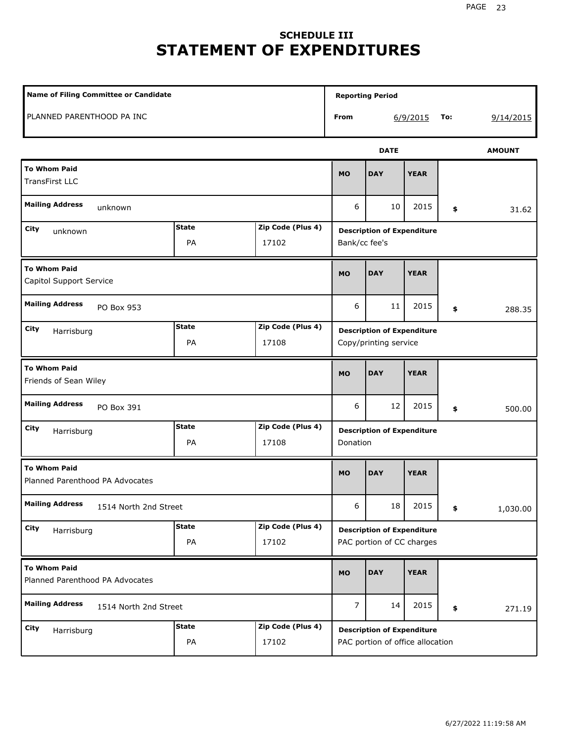# **SCHEDULE III STATEMENT OF EXPENDITURES**

| <b>Name of Filing Committee or Candidate</b>           |                    |                            |                | <b>Reporting Period</b>                                               |             |     |               |
|--------------------------------------------------------|--------------------|----------------------------|----------------|-----------------------------------------------------------------------|-------------|-----|---------------|
| PLANNED PARENTHOOD PA INC                              |                    |                            | From           |                                                                       | 6/9/2015    | To: | 9/14/2015     |
|                                                        |                    |                            |                | <b>DATE</b>                                                           |             |     | <b>AMOUNT</b> |
| <b>To Whom Paid</b><br><b>TransFirst LLC</b>           |                    |                            | <b>MO</b>      | <b>DAY</b>                                                            | <b>YEAR</b> |     |               |
| <b>Mailing Address</b><br>unknown                      |                    |                            | 6              | 10                                                                    | 2015        | \$  | 31.62         |
| City<br>unknown                                        | <b>State</b><br>PA | Zip Code (Plus 4)<br>17102 | Bank/cc fee's  | <b>Description of Expenditure</b>                                     |             |     |               |
| <b>To Whom Paid</b><br>Capitol Support Service         |                    |                            | <b>MO</b>      | <b>DAY</b>                                                            | <b>YEAR</b> |     |               |
| <b>Mailing Address</b><br>PO Box 953                   |                    |                            | 6              | 11                                                                    | 2015        | \$  | 288.35        |
| City<br>Harrisburg                                     | <b>State</b><br>PA | Zip Code (Plus 4)<br>17108 |                | <b>Description of Expenditure</b><br>Copy/printing service            |             |     |               |
| <b>To Whom Paid</b><br>Friends of Sean Wiley           |                    |                            | <b>MO</b>      | <b>DAY</b>                                                            | <b>YEAR</b> |     |               |
| <b>Mailing Address</b><br>PO Box 391                   |                    |                            | 6              | 12                                                                    | 2015        | \$  | 500.00        |
| <b>City</b><br>Harrisburg                              | <b>State</b><br>PA | Zip Code (Plus 4)<br>17108 | Donation       | <b>Description of Expenditure</b>                                     |             |     |               |
| <b>To Whom Paid</b><br>Planned Parenthood PA Advocates |                    |                            | <b>MO</b>      | <b>DAY</b>                                                            | <b>YEAR</b> |     |               |
| <b>Mailing Address</b><br>1514 North 2nd Street        |                    |                            | 6              | 18                                                                    | 2015        | \$  | 1,030.00      |
| City<br>Harrisburg                                     | <b>State</b><br>PA | Zip Code (Plus 4)<br>17102 |                | <b>Description of Expenditure</b><br>PAC portion of CC charges        |             |     |               |
| <b>To Whom Paid</b><br>Planned Parenthood PA Advocates |                    |                            | <b>MO</b>      | <b>DAY</b>                                                            | <b>YEAR</b> |     |               |
| <b>Mailing Address</b><br>1514 North 2nd Street        |                    |                            | $\overline{7}$ | 14                                                                    | 2015        | \$  | 271.19        |
| City<br>Harrisburg                                     | <b>State</b><br>PA | Zip Code (Plus 4)<br>17102 |                | <b>Description of Expenditure</b><br>PAC portion of office allocation |             |     |               |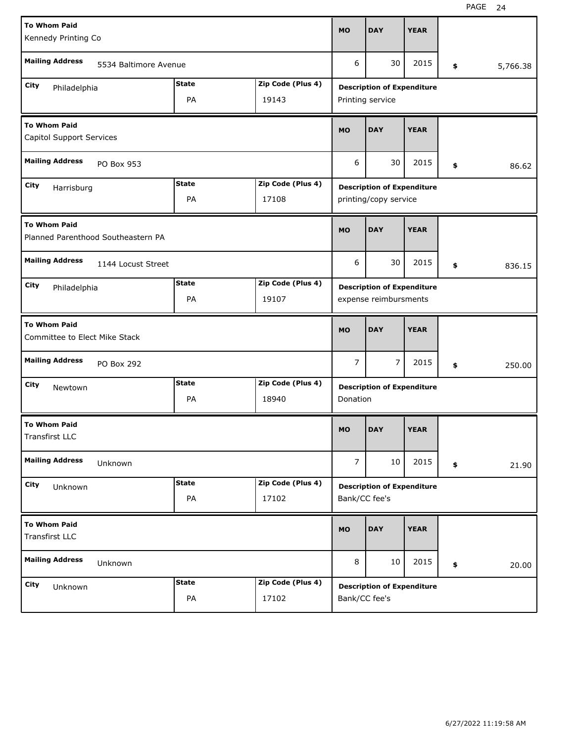| <b>To Whom Paid</b>                                       |                       |              |                   |                |                                   |             |                |
|-----------------------------------------------------------|-----------------------|--------------|-------------------|----------------|-----------------------------------|-------------|----------------|
| Kennedy Printing Co                                       |                       |              |                   | <b>MO</b>      | <b>DAY</b>                        | <b>YEAR</b> |                |
| <b>Mailing Address</b>                                    | 5534 Baltimore Avenue |              |                   | 6              | 30                                | 2015        | \$<br>5,766.38 |
| City<br>Philadelphia                                      |                       | <b>State</b> | Zip Code (Plus 4) |                | <b>Description of Expenditure</b> |             |                |
|                                                           |                       | PA           | 19143             |                | Printing service                  |             |                |
| <b>To Whom Paid</b><br><b>Capitol Support Services</b>    |                       |              |                   | <b>MO</b>      | <b>DAY</b>                        | <b>YEAR</b> |                |
| <b>Mailing Address</b>                                    | PO Box 953            |              |                   | 6              | 30                                | 2015        | \$<br>86.62    |
| City<br>Harrisburg                                        |                       | <b>State</b> | Zip Code (Plus 4) |                | <b>Description of Expenditure</b> |             |                |
|                                                           |                       | PA           | 17108             |                | printing/copy service             |             |                |
| <b>To Whom Paid</b><br>Planned Parenthood Southeastern PA |                       |              |                   | <b>MO</b>      | <b>DAY</b>                        | <b>YEAR</b> |                |
| <b>Mailing Address</b>                                    | 1144 Locust Street    |              |                   | 6              | 30                                | 2015        | \$<br>836.15   |
| City<br>Philadelphia                                      |                       | <b>State</b> | Zip Code (Plus 4) |                | <b>Description of Expenditure</b> |             |                |
|                                                           |                       | PA           | 19107             |                | expense reimbursments             |             |                |
|                                                           |                       |              |                   |                |                                   |             |                |
| <b>To Whom Paid</b><br>Committee to Elect Mike Stack      |                       |              |                   | <b>MO</b>      | <b>DAY</b>                        | <b>YEAR</b> |                |
| <b>Mailing Address</b>                                    | PO Box 292            |              |                   | 7              | 7                                 | 2015        | \$<br>250.00   |
| City<br>Newtown                                           |                       | <b>State</b> | Zip Code (Plus 4) |                | <b>Description of Expenditure</b> |             |                |
|                                                           |                       | PA           | 18940             | Donation       |                                   |             |                |
| <b>To Whom Paid</b><br>Transfirst LLC                     |                       |              |                   | <b>MO</b>      | <b>DAY</b>                        | <b>YEAR</b> |                |
| <b>Mailing Address</b>                                    | Unknown               |              |                   | $\overline{7}$ | 10                                | 2015        | \$<br>21.90    |
| City                                                      |                       | <b>State</b> | Zip Code (Plus 4) |                |                                   |             |                |
| Unknown                                                   |                       | PA           | 17102             | Bank/CC fee's  | <b>Description of Expenditure</b> |             |                |
| <b>To Whom Paid</b><br><b>Transfirst LLC</b>              |                       |              |                   | MO             | <b>DAY</b>                        | <b>YEAR</b> |                |
| <b>Mailing Address</b>                                    | Unknown               |              |                   | 8              | 10                                | 2015        | \$<br>20.00    |
| City<br>Unknown                                           |                       | <b>State</b> | Zip Code (Plus 4) |                | <b>Description of Expenditure</b> |             |                |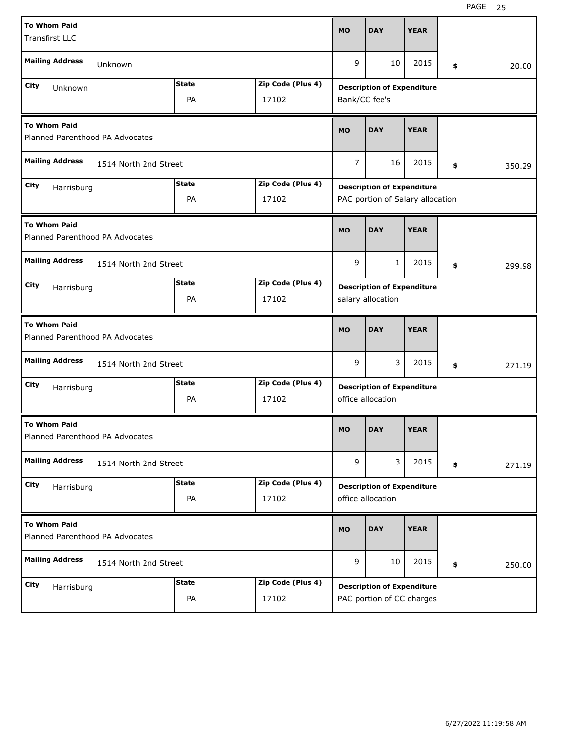| <b>To Whom Paid</b><br><b>Transfirst LLC</b>           |                                   |              |                   | <b>MO</b>      | <b>DAY</b>                                             | <b>YEAR</b> |    |        |  |  |
|--------------------------------------------------------|-----------------------------------|--------------|-------------------|----------------|--------------------------------------------------------|-------------|----|--------|--|--|
| <b>Mailing Address</b><br>Unknown                      |                                   |              |                   | 9              | 10                                                     | 2015        | \$ | 20.00  |  |  |
| City                                                   |                                   | <b>State</b> | Zip Code (Plus 4) |                |                                                        |             |    |        |  |  |
| Unknown<br>PA<br>17102                                 |                                   |              |                   |                | <b>Description of Expenditure</b><br>Bank/CC fee's     |             |    |        |  |  |
| <b>To Whom Paid</b><br>Planned Parenthood PA Advocates |                                   |              |                   | <b>MO</b>      | <b>DAY</b>                                             | <b>YEAR</b> |    |        |  |  |
| <b>Mailing Address</b><br>1514 North 2nd Street        |                                   |              |                   | $\overline{7}$ | 16                                                     | 2015        | \$ | 350.29 |  |  |
| City<br>Harrisburg                                     | <b>State</b><br>Zip Code (Plus 4) |              |                   |                | <b>Description of Expenditure</b>                      |             |    |        |  |  |
|                                                        |                                   | PA           | 17102             |                | PAC portion of Salary allocation                       |             |    |        |  |  |
| <b>To Whom Paid</b><br>Planned Parenthood PA Advocates |                                   |              |                   | <b>MO</b>      | <b>DAY</b>                                             | <b>YEAR</b> |    |        |  |  |
| <b>Mailing Address</b><br>1514 North 2nd Street        |                                   |              |                   | 9              | 1                                                      | 2015        | \$ | 299.98 |  |  |
| City<br>Harrisburg                                     |                                   | <b>State</b> | Zip Code (Plus 4) |                | <b>Description of Expenditure</b>                      |             |    |        |  |  |
|                                                        |                                   | PA           | salary allocation |                |                                                        |             |    |        |  |  |
| <b>To Whom Paid</b><br>Planned Parenthood PA Advocates |                                   |              |                   |                |                                                        |             |    |        |  |  |
|                                                        |                                   |              |                   | <b>MO</b>      | <b>DAY</b>                                             | <b>YEAR</b> |    |        |  |  |
| <b>Mailing Address</b>                                 | 1514 North 2nd Street             |              |                   | 9              | 3                                                      | 2015        | \$ | 271.19 |  |  |
| City                                                   |                                   | <b>State</b> | Zip Code (Plus 4) |                | <b>Description of Expenditure</b>                      |             |    |        |  |  |
| Harrisburg                                             |                                   | PA           | 17102             |                | office allocation                                      |             |    |        |  |  |
| <b>To Whom Paid</b><br>Planned Parenthood PA Advocates |                                   |              |                   | <b>MO</b>      | <b>DAY</b>                                             | <b>YEAR</b> |    |        |  |  |
| <b>Mailing Address</b>                                 | 1514 North 2nd Street             |              |                   | 9              | 3                                                      | 2015        | \$ | 271.19 |  |  |
| City                                                   |                                   | <b>State</b> | Zip Code (Plus 4) |                |                                                        |             |    |        |  |  |
| Harrisburg                                             |                                   | PA           | 17102             |                | <b>Description of Expenditure</b><br>office allocation |             |    |        |  |  |
| <b>To Whom Paid</b><br>Planned Parenthood PA Advocates |                                   |              |                   | <b>MO</b>      | <b>DAY</b>                                             | <b>YEAR</b> |    |        |  |  |
| <b>Mailing Address</b>                                 | 1514 North 2nd Street             |              |                   | 9              | 10                                                     | 2015        | \$ | 250.00 |  |  |
| City<br>Harrisburg                                     |                                   | <b>State</b> | Zip Code (Plus 4) |                | <b>Description of Expenditure</b>                      |             |    |        |  |  |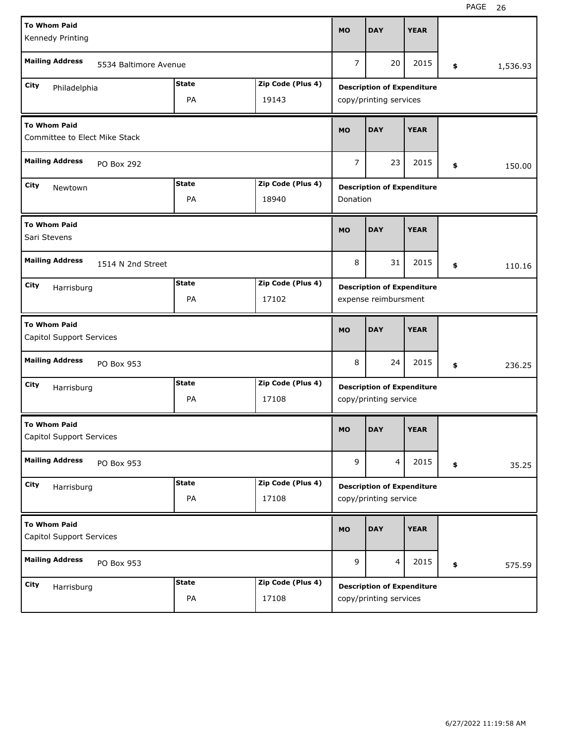| <b>To Whom Paid</b><br>Kennedy Printing              |                                   |                                   |                       | <b>MO</b>              | <b>DAY</b>                        | <b>YEAR</b> |        |          |  |  |
|------------------------------------------------------|-----------------------------------|-----------------------------------|-----------------------|------------------------|-----------------------------------|-------------|--------|----------|--|--|
| <b>Mailing Address</b><br>5534 Baltimore Avenue      |                                   |                                   |                       | $\overline{7}$         | 20                                | 2015        | \$     | 1,536.93 |  |  |
| City<br>Philadelphia                                 |                                   | <b>State</b>                      | Zip Code (Plus 4)     |                        | <b>Description of Expenditure</b> |             |        |          |  |  |
| PA<br>19143                                          |                                   |                                   |                       | copy/printing services |                                   |             |        |          |  |  |
| <b>To Whom Paid</b><br>Committee to Elect Mike Stack |                                   |                                   |                       | <b>MO</b>              | <b>DAY</b>                        | <b>YEAR</b> |        |          |  |  |
| <b>Mailing Address</b><br>PO Box 292                 |                                   |                                   |                       | 7                      | 23                                | 2015        | \$     | 150.00   |  |  |
| City<br>Newtown                                      |                                   | <b>State</b><br>Zip Code (Plus 4) |                       |                        | <b>Description of Expenditure</b> |             |        |          |  |  |
|                                                      |                                   | PA                                | 18940                 | Donation               |                                   |             |        |          |  |  |
| <b>To Whom Paid</b><br>Sari Stevens                  |                                   |                                   |                       | <b>MO</b>              | <b>DAY</b>                        | <b>YEAR</b> |        |          |  |  |
| <b>Mailing Address</b><br>1514 N 2nd Street          |                                   |                                   |                       | 8                      | 31                                | 2015        | \$     | 110.16   |  |  |
| City<br>Harrisburg                                   |                                   | <b>State</b><br>Zip Code (Plus 4) |                       |                        | <b>Description of Expenditure</b> |             |        |          |  |  |
|                                                      |                                   | PA                                | 17102                 | expense reimbursment   |                                   |             |        |          |  |  |
| <b>To Whom Paid</b><br>Capitol Support Services      |                                   |                                   |                       | <b>MO</b>              | <b>DAY</b>                        | <b>YEAR</b> |        |          |  |  |
| <b>Mailing Address</b><br>PO Box 953                 |                                   |                                   | 8                     | 24                     | 2015                              | \$          | 236.25 |          |  |  |
| City<br>Harrisburg                                   |                                   | <b>State</b><br>Zip Code (Plus 4) |                       |                        | <b>Description of Expenditure</b> |             |        |          |  |  |
|                                                      |                                   | PA                                | copy/printing service |                        |                                   |             |        |          |  |  |
| <b>To Whom Paid</b><br>Capitol Support Services      |                                   |                                   |                       | <b>MO</b>              | <b>DAY</b>                        | <b>YEAR</b> |        |          |  |  |
| <b>Mailing Address</b><br>PO Box 953                 |                                   |                                   |                       | 9                      | $\overline{4}$                    | 2015        | \$     | 35.25    |  |  |
| City<br>Harrisburg                                   | Zip Code (Plus 4)<br><b>State</b> |                                   |                       |                        | <b>Description of Expenditure</b> |             |        |          |  |  |
|                                                      |                                   |                                   |                       |                        |                                   |             |        |          |  |  |
|                                                      |                                   | PA                                | 17108                 |                        | copy/printing service             |             |        |          |  |  |
| <b>To Whom Paid</b><br>Capitol Support Services      |                                   |                                   |                       | <b>MO</b>              | <b>DAY</b>                        | <b>YEAR</b> |        |          |  |  |
| <b>Mailing Address</b>                               | PO Box 953                        |                                   |                       | 9                      | $\overline{4}$                    | 2015        | \$     | 575.59   |  |  |
| City<br>Harrisburg                                   |                                   | <b>State</b>                      | Zip Code (Plus 4)     |                        | <b>Description of Expenditure</b> |             |        |          |  |  |